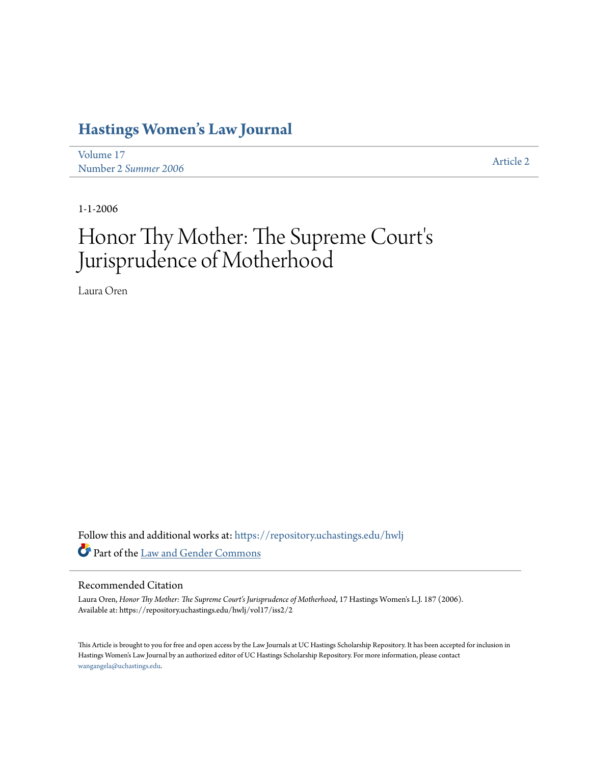## **[Hastings Women's Law Journal](https://repository.uchastings.edu/hwlj?utm_source=repository.uchastings.edu%2Fhwlj%2Fvol17%2Fiss2%2F2&utm_medium=PDF&utm_campaign=PDFCoverPages)**

[Volume 17](https://repository.uchastings.edu/hwlj/vol17?utm_source=repository.uchastings.edu%2Fhwlj%2Fvol17%2Fiss2%2F2&utm_medium=PDF&utm_campaign=PDFCoverPages) volume 17<br>Number 2 *[Summer 2006](https://repository.uchastings.edu/hwlj/vol17/iss2?utm_source=repository.uchastings.edu%2Fhwlj%2Fvol17%2Fiss2%2F2&utm_medium=PDF&utm_campaign=PDFCoverPages)* [Article 2](https://repository.uchastings.edu/hwlj/vol17/iss2/2?utm_source=repository.uchastings.edu%2Fhwlj%2Fvol17%2Fiss2%2F2&utm_medium=PDF&utm_campaign=PDFCoverPages)

1-1-2006

# Honor Thy Mother: The Supreme Court' s Jurisprudence of Motherhood

Laura Oren

Follow this and additional works at: [https://repository.uchastings.edu/hwlj](https://repository.uchastings.edu/hwlj?utm_source=repository.uchastings.edu%2Fhwlj%2Fvol17%2Fiss2%2F2&utm_medium=PDF&utm_campaign=PDFCoverPages) Part of the [Law and Gender Commons](http://network.bepress.com/hgg/discipline/1298?utm_source=repository.uchastings.edu%2Fhwlj%2Fvol17%2Fiss2%2F2&utm_medium=PDF&utm_campaign=PDFCoverPages)

#### Recommended Citation

Laura Oren, *Honor Thy Mother: The Supreme Court's Jurisprudence of Motherhood*, 17 Hastings Women's L.J. 187 (2006). Available at: https://repository.uchastings.edu/hwlj/vol17/iss2/2

This Article is brought to you for free and open access by the Law Journals at UC Hastings Scholarship Repository. It has been accepted for inclusion in Hastings Women's Law Journal by an authorized editor of UC Hastings Scholarship Repository. For more information, please contact [wangangela@uchastings.edu](mailto:wangangela@uchastings.edu).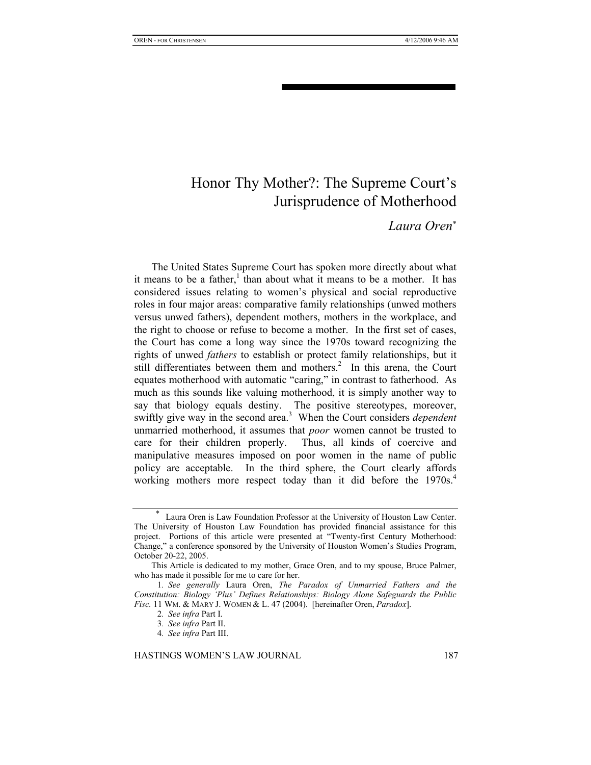### Honor Thy Mother?: The Supreme Court's Jurisprudence of Motherhood

#### *Laura Oren*<sup>∗</sup>

The United States Supreme Court has spoken more directly about what it means to be a father,<sup>1</sup> than about what it means to be a mother. It has considered issues relating to women's physical and social reproductive roles in four major areas: comparative family relationships (unwed mothers versus unwed fathers), dependent mothers, mothers in the workplace, and the right to choose or refuse to become a mother. In the first set of cases, the Court has come a long way since the 1970s toward recognizing the rights of unwed *fathers* to establish or protect family relationships, but it still differentiates between them and mothers.<sup>2</sup> In this arena, the Court equates motherhood with automatic "caring," in contrast to fatherhood. As much as this sounds like valuing motherhood, it is simply another way to say that biology equals destiny. The positive stereotypes, moreover, swiftly give way in the second area.<sup>3</sup> When the Court considers *dependent* unmarried motherhood, it assumes that *poor* women cannot be trusted to care for their children properly. Thus, all kinds of coercive and manipulative measures imposed on poor women in the name of public policy are acceptable. In the third sphere, the Court clearly affords working mothers more respect today than it did before the 1970s.<sup>4</sup>

<sup>∗</sup> Laura Oren is Law Foundation Professor at the University of Houston Law Center. The University of Houston Law Foundation has provided financial assistance for this project. Portions of this article were presented at "Twenty-first Century Motherhood: Change," a conference sponsored by the University of Houston Women's Studies Program, October 20-22, 2005.

This Article is dedicated to my mother, Grace Oren, and to my spouse, Bruce Palmer, who has made it possible for me to care for her.

<sup>1</sup>*. See generally* Laura Oren, *The Paradox of Unmarried Fathers and the Constitution: Biology 'Plus' Defines Relationships: Biology Alone Safeguards the Public Fisc.* 11 WM. & MARY J. WOMEN & L. 47 (2004). [hereinafter Oren, *Paradox*].

<sup>2</sup>*. See infra* Part I.

<sup>3</sup>*. See infra* Part II.

<sup>4</sup>*. See infra* Part III.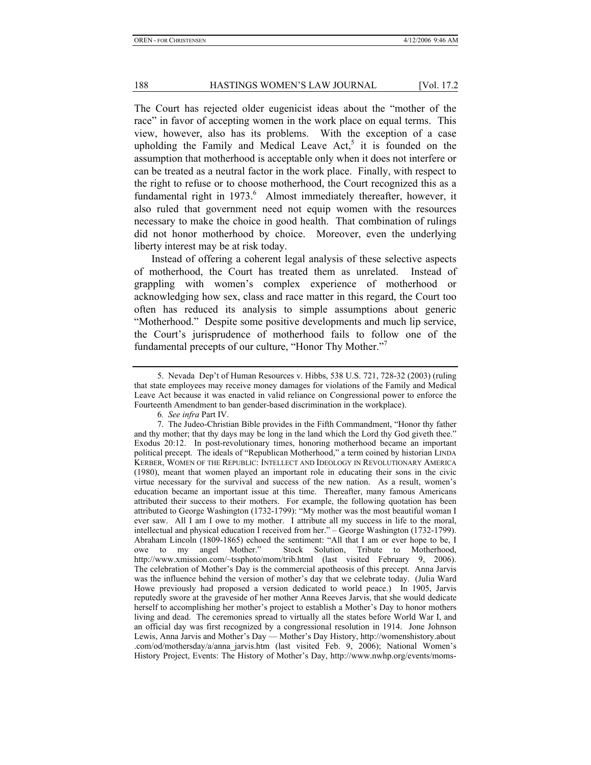The Court has rejected older eugenicist ideas about the "mother of the race" in favor of accepting women in the work place on equal terms. This view, however, also has its problems. With the exception of a case upholding the Family and Medical Leave Act, $5$  it is founded on the assumption that motherhood is acceptable only when it does not interfere or can be treated as a neutral factor in the work place. Finally, with respect to the right to refuse or to choose motherhood, the Court recognized this as a fundamental right in 1973.<sup>6</sup> Almost immediately thereafter, however, it also ruled that government need not equip women with the resources necessary to make the choice in good health. That combination of rulings did not honor motherhood by choice. Moreover, even the underlying liberty interest may be at risk today.

Instead of offering a coherent legal analysis of these selective aspects of motherhood, the Court has treated them as unrelated. Instead of grappling with women's complex experience of motherhood or acknowledging how sex, class and race matter in this regard, the Court too often has reduced its analysis to simple assumptions about generic "Motherhood." Despite some positive developments and much lip service, the Court's jurisprudence of motherhood fails to follow one of the fundamental precepts of our culture, "Honor Thy Mother."7

6*. See infra* Part IV.

 7. The Judeo-Christian Bible provides in the Fifth Commandment, "Honor thy father and thy mother; that thy days may be long in the land which the Lord thy God giveth thee." Exodus 20:12. In post-revolutionary times, honoring motherhood became an important political precept. The ideals of "Republican Motherhood," a term coined by historian LINDA KERBER, WOMEN OF THE REPUBLIC: INTELLECT AND IDEOLOGY IN REVOLUTIONARY AMERICA (1980), meant that women played an important role in educating their sons in the civic virtue necessary for the survival and success of the new nation. As a result, women's education became an important issue at this time. Thereafter, many famous Americans attributed their success to their mothers. For example, the following quotation has been attributed to George Washington (1732-1799): "My mother was the most beautiful woman I ever saw. All I am I owe to my mother. I attribute all my success in life to the moral, intellectual and physical education I received from her." – George Washington (1732-1799). Abraham Lincoln (1809-1865) echoed the sentiment: "All that I am or ever hope to be, I owe to my angel Mother." Stock Solution, Tribute to Motherhood, http://www.xmission.com/~tssphoto/mom/trib.html (last visited February 9, 2006). The celebration of Mother's Day is the commercial apotheosis of this precept. Anna Jarvis was the influence behind the version of mother's day that we celebrate today. (Julia Ward Howe previously had proposed a version dedicated to world peace.) In 1905, Jarvis reputedly swore at the graveside of her mother Anna Reeves Jarvis, that she would dedicate herself to accomplishing her mother's project to establish a Mother's Day to honor mothers living and dead. The ceremonies spread to virtually all the states before World War I, and an official day was first recognized by a congressional resolution in 1914. Jone Johnson Lewis, Anna Jarvis and Mother's Day — Mother's Day History, http://womenshistory.about .com/od/mothersday/a/anna\_jarvis.htm (last visited Feb. 9, 2006); National Women's History Project, Events: The History of Mother's Day, http://www.nwhp.org/events/moms-

 <sup>5.</sup> Nevada Dep't of Human Resources v. Hibbs, 538 U.S. 721, 728-32 (2003) (ruling that state employees may receive money damages for violations of the Family and Medical Leave Act because it was enacted in valid reliance on Congressional power to enforce the Fourteenth Amendment to ban gender-based discrimination in the workplace).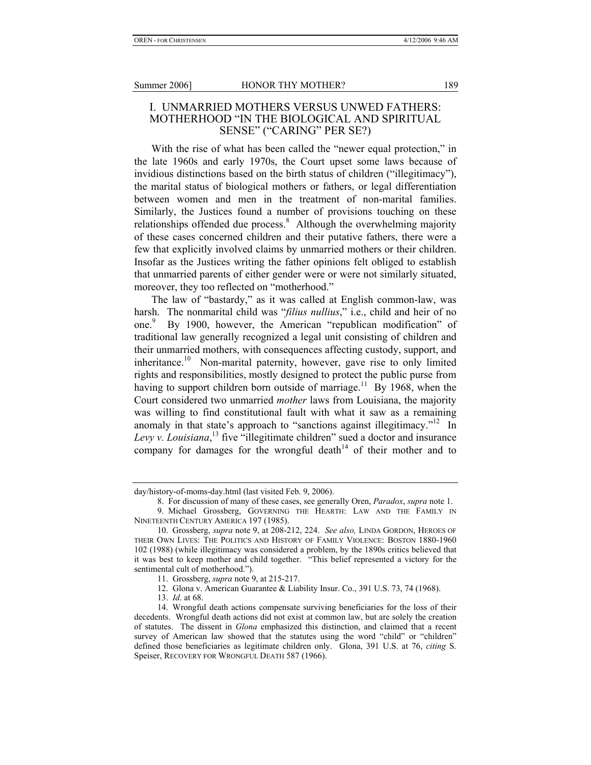#### I. UNMARRIED MOTHERS VERSUS UNWED FATHERS: MOTHERHOOD "IN THE BIOLOGICAL AND SPIRITUAL SENSE" ("CARING" PER SE?)

With the rise of what has been called the "newer equal protection," in the late 1960s and early 1970s, the Court upset some laws because of invidious distinctions based on the birth status of children ("illegitimacy"), the marital status of biological mothers or fathers, or legal differentiation between women and men in the treatment of non-marital families. Similarly, the Justices found a number of provisions touching on these relationships offended due process.<sup>8</sup> Although the overwhelming majority of these cases concerned children and their putative fathers, there were a few that explicitly involved claims by unmarried mothers or their children. Insofar as the Justices writing the father opinions felt obliged to establish that unmarried parents of either gender were or were not similarly situated, moreover, they too reflected on "motherhood."

The law of "bastardy," as it was called at English common-law, was harsh. The nonmarital child was "*filius nullius*," i.e., child and heir of no one.<sup>9</sup> By 1900, however, the American "republican modification" of traditional law generally recognized a legal unit consisting of children and their unmarried mothers, with consequences affecting custody, support, and inheritance.<sup>10</sup> Non-marital paternity, however, gave rise to only limited rights and responsibilities, mostly designed to protect the public purse from having to support children born outside of marriage.<sup>11</sup> By 1968, when the Court considered two unmarried *mother* laws from Louisiana, the majority was willing to find constitutional fault with what it saw as a remaining anomaly in that state's approach to "sanctions against illegitimacy."<sup>12</sup> In Levy v. Louisiana,<sup>13</sup> five "illegitimate children" sued a doctor and insurance company for damages for the wrongful death<sup> $14$ </sup> of their mother and to

day/history-of-moms-day.html (last visited Feb. 9, 2006).

 <sup>8.</sup> For discussion of many of these cases, see generally Oren, *Paradox*, *supra* note 1.

 <sup>9.</sup> Michael Grossberg, GOVERNING THE HEARTH: LAW AND THE FAMILY IN NINETEENTH CENTURY AMERICA 197 (1985).

 <sup>10.</sup> Grossberg, *supra* note 9, at 208-212, 224. *See also,* LINDA GORDON, HEROES OF THEIR OWN LIVES: THE POLITICS AND HISTORY OF FAMILY VIOLENCE: BOSTON 1880-1960 102 (1988) (while illegitimacy was considered a problem, by the 1890s critics believed that it was best to keep mother and child together. "This belief represented a victory for the sentimental cult of motherhood.").

 <sup>11.</sup> Grossberg, *supra* note 9, at 215-217.

 <sup>12.</sup> Glona v. American Guarantee & Liability Insur. Co., 391 U.S. 73, 74 (1968).

 <sup>13.</sup> *Id*. at 68.

 <sup>14.</sup> Wrongful death actions compensate surviving beneficiaries for the loss of their decedents. Wrongful death actions did not exist at common law, but are solely the creation of statutes. The dissent in *Glona* emphasized this distinction, and claimed that a recent survey of American law showed that the statutes using the word "child" or "children" defined those beneficiaries as legitimate children only. Glona, 391 U.S. at 76, *citing* S. Speiser, RECOVERY FOR WRONGFUL DEATH 587 (1966).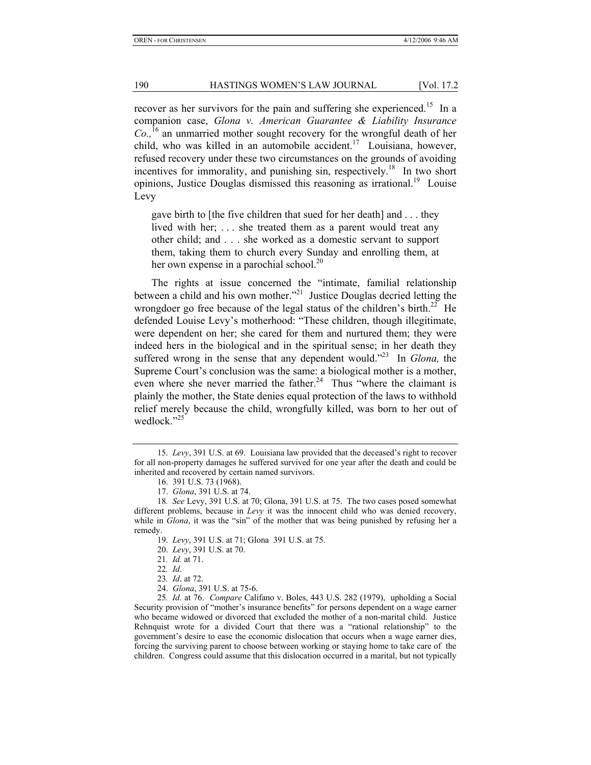recover as her survivors for the pain and suffering she experienced.<sup>15</sup> In a companion case, *Glona v. American Guarantee & Liability Insurance Co.,*16 an unmarried mother sought recovery for the wrongful death of her child, who was killed in an automobile accident.<sup>17</sup> Louisiana, however, refused recovery under these two circumstances on the grounds of avoiding incentives for immorality, and punishing sin, respectively.<sup>18</sup> In two short opinions, Justice Douglas dismissed this reasoning as irrational.<sup>19</sup> Louise Levy

gave birth to [the five children that sued for her death] and . . . they lived with her; ... she treated them as a parent would treat any other child; and . . . she worked as a domestic servant to support them, taking them to church every Sunday and enrolling them, at her own expense in a parochial school.<sup>20</sup>

The rights at issue concerned the "intimate, familial relationship between a child and his own mother."<sup>21</sup> Justice Douglas decried letting the wrongdoer go free because of the legal status of the children's birth.<sup>22</sup> He defended Louise Levy's motherhood: "These children, though illegitimate, were dependent on her; she cared for them and nurtured them; they were indeed hers in the biological and in the spiritual sense; in her death they suffered wrong in the sense that any dependent would."23 In *Glona,* the Supreme Court's conclusion was the same: a biological mother is a mother, even where she never married the father.<sup>24</sup> Thus "where the claimant is plainly the mother, the State denies equal protection of the laws to withhold relief merely because the child, wrongfully killed, was born to her out of wedlock."<sup>25</sup>

24. *Glona*, 391 U.S. at 75-6.

25*. Id*. at 76. *Compare* Califano v. Boles, 443 U.S. 282 (1979), upholding a Social Security provision of "mother's insurance benefits" for persons dependent on a wage earner who became widowed or divorced that excluded the mother of a non-marital child. Justice Rehnquist wrote for a divided Court that there was a "rational relationship" to the government's desire to ease the economic dislocation that occurs when a wage earner dies, forcing the surviving parent to choose between working or staying home to take care of the children. Congress could assume that this dislocation occurred in a marital, but not typically

 <sup>15.</sup> *Levy*, 391 U.S. at 69. Louisiana law provided that the deceased's right to recover for all non-property damages he suffered survived for one year after the death and could be inherited and recovered by certain named survivors.

 <sup>16. 391</sup> U.S. 73 (1968).

 <sup>17.</sup> *Glona*, 391 U.S. at 74.

<sup>18</sup>*. See* Levy, 391 U.S. at 70; Glona, 391 U.S. at 75. The two cases posed somewhat different problems, because in *Levy* it was the innocent child who was denied recovery, while in *Glona*, it was the "sin" of the mother that was being punished by refusing her a remedy.

 <sup>19.</sup> *Levy*, 391 U.S. at 71; Glona 391 U.S. at 75.

 <sup>20.</sup> *Levy*, 391 U.S. at 70.

<sup>21</sup>*. Id.* at 71.

<sup>22</sup>*. Id*.

<sup>23</sup>*. Id*. at 72.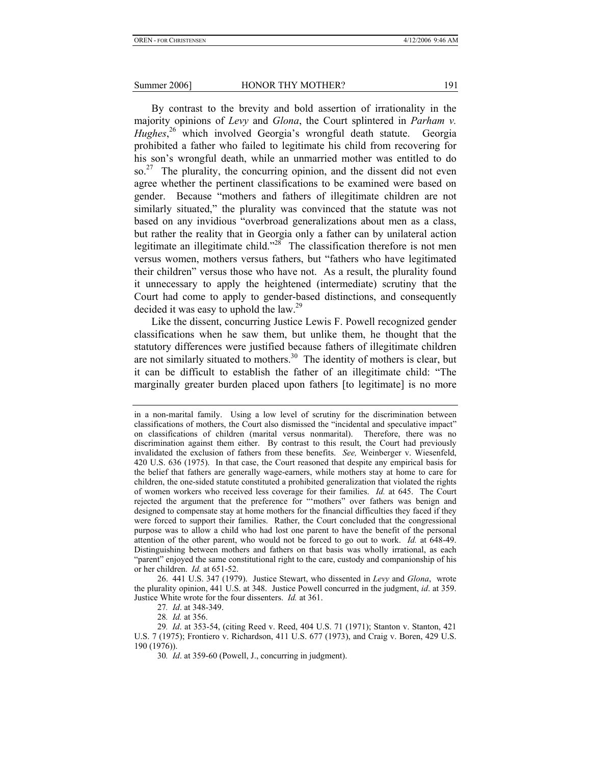By contrast to the brevity and bold assertion of irrationality in the majority opinions of *Levy* and *Glona*, the Court splintered in *Parham v. Hughes*, <sup>26</sup> which involved Georgia's wrongful death statute. Georgia prohibited a father who failed to legitimate his child from recovering for his son's wrongful death, while an unmarried mother was entitled to do so.<sup>27</sup> The plurality, the concurring opinion, and the dissent did not even agree whether the pertinent classifications to be examined were based on gender. Because "mothers and fathers of illegitimate children are not similarly situated," the plurality was convinced that the statute was not based on any invidious "overbroad generalizations about men as a class, but rather the reality that in Georgia only a father can by unilateral action legitimate an illegitimate child."<sup>28</sup> The classification therefore is not men versus women, mothers versus fathers, but "fathers who have legitimated their children" versus those who have not. As a result, the plurality found it unnecessary to apply the heightened (intermediate) scrutiny that the Court had come to apply to gender-based distinctions, and consequently decided it was easy to uphold the law.29

Like the dissent, concurring Justice Lewis F. Powell recognized gender classifications when he saw them, but unlike them, he thought that the statutory differences were justified because fathers of illegitimate children are not similarly situated to mothers.<sup>30</sup> The identity of mothers is clear, but it can be difficult to establish the father of an illegitimate child: "The marginally greater burden placed upon fathers [to legitimate] is no more

in a non-marital family. Using a low level of scrutiny for the discrimination between classifications of mothers, the Court also dismissed the "incidental and speculative impact" on classifications of children (marital versus nonmarital). Therefore, there was no discrimination against them either. By contrast to this result, the Court had previously invalidated the exclusion of fathers from these benefits. *See,* Weinberger v. Wiesenfeld, 420 U.S. 636 (1975). In that case, the Court reasoned that despite any empirical basis for the belief that fathers are generally wage-earners, while mothers stay at home to care for children, the one-sided statute constituted a prohibited generalization that violated the rights of women workers who received less coverage for their families. *Id.* at 645. The Court rejected the argument that the preference for "'mothers" over fathers was benign and designed to compensate stay at home mothers for the financial difficulties they faced if they were forced to support their families. Rather, the Court concluded that the congressional purpose was to allow a child who had lost one parent to have the benefit of the personal attention of the other parent, who would not be forced to go out to work. *Id.* at 648-49. Distinguishing between mothers and fathers on that basis was wholly irrational, as each "parent" enjoyed the same constitutional right to the care, custody and companionship of his or her children. *Id.* at 651-52.

 <sup>26. 441</sup> U.S. 347 (1979). Justice Stewart, who dissented in *Levy* and *Glona*, wrote the plurality opinion, 441 U.S. at 348. Justice Powell concurred in the judgment, *id*. at 359. Justice White wrote for the four dissenters. *Id.* at 361.

<sup>27</sup>*. Id*. at 348-349.

<sup>28</sup>*. Id.* at 356.

<sup>29</sup>*. Id*. at 353-54, (citing Reed v. Reed, 404 U.S. 71 (1971); Stanton v. Stanton, 421 U.S. 7 (1975); Frontiero v. Richardson, 411 U.S. 677 (1973), and Craig v. Boren, 429 U.S. 190 (1976)).

<sup>30</sup>*. Id*. at 359-60 (Powell, J., concurring in judgment).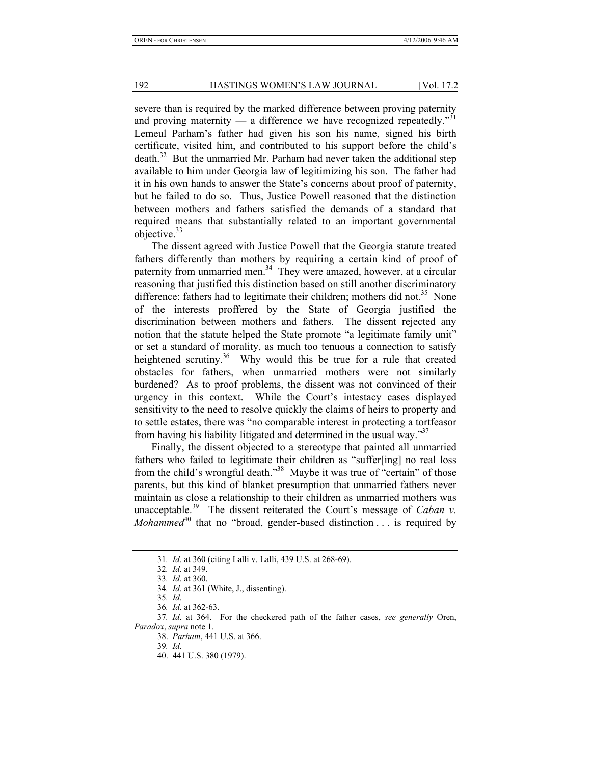severe than is required by the marked difference between proving paternity and proving maternity — a difference we have recognized repeatedly.<sup>"31</sup> Lemeul Parham's father had given his son his name, signed his birth certificate, visited him, and contributed to his support before the child's death.<sup>32</sup> But the unmarried Mr. Parham had never taken the additional step available to him under Georgia law of legitimizing his son. The father had it in his own hands to answer the State's concerns about proof of paternity, but he failed to do so. Thus, Justice Powell reasoned that the distinction between mothers and fathers satisfied the demands of a standard that required means that substantially related to an important governmental objective.<sup>33</sup>

The dissent agreed with Justice Powell that the Georgia statute treated fathers differently than mothers by requiring a certain kind of proof of paternity from unmarried men.<sup>34</sup> They were amazed, however, at a circular reasoning that justified this distinction based on still another discriminatory difference: fathers had to legitimate their children; mothers did not.<sup>35</sup> None of the interests proffered by the State of Georgia justified the discrimination between mothers and fathers. The dissent rejected any notion that the statute helped the State promote "a legitimate family unit" or set a standard of morality, as much too tenuous a connection to satisfy heightened scrutiny.<sup>36</sup> Why would this be true for a rule that created obstacles for fathers, when unmarried mothers were not similarly burdened? As to proof problems, the dissent was not convinced of their urgency in this context. While the Court's intestacy cases displayed sensitivity to the need to resolve quickly the claims of heirs to property and to settle estates, there was "no comparable interest in protecting a tortfeasor from having his liability litigated and determined in the usual way."

Finally, the dissent objected to a stereotype that painted all unmarried fathers who failed to legitimate their children as "suffer[ing] no real loss from the child's wrongful death."38 Maybe it was true of "certain" of those parents, but this kind of blanket presumption that unmarried fathers never maintain as close a relationship to their children as unmarried mothers was unacceptable.<sup>39</sup> The dissent reiterated the Court's message of *Caban v*. *Mohammed*<sup>40</sup> that no "broad, gender-based distinction . . . is required by

39*. Id*.

<sup>31</sup>*. Id*. at 360 (citing Lalli v. Lalli, 439 U.S. at 268-69).

<sup>32</sup>*. Id*. at 349.

<sup>33</sup>*. Id*. at 360.

<sup>34</sup>*. Id*. at 361 (White, J., dissenting).

<sup>35</sup>*. Id*.

<sup>36</sup>*. Id*. at 362-63.

<sup>37</sup>*. Id*. at 364. For the checkered path of the father cases, *see generally* Oren, *Paradox*, *supra* note 1.

 <sup>38.</sup> *Parham*, 441 U.S. at 366.

 <sup>40. 441</sup> U.S. 380 (1979).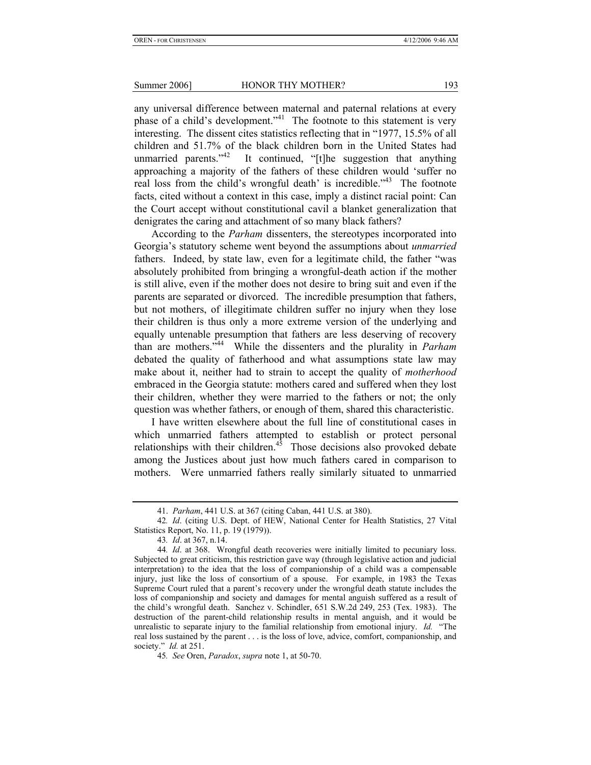any universal difference between maternal and paternal relations at every phase of a child's development."<sup>41</sup> The footnote to this statement is very interesting. The dissent cites statistics reflecting that in "1977, 15.5% of all children and 51.7% of the black children born in the United States had unmarried parents."<sup>42</sup> It continued, "[t]he suggestion that anything approaching a majority of the fathers of these children would 'suffer no real loss from the child's wrongful death' is incredible.<sup> $343$ </sup> The footnote facts, cited without a context in this case, imply a distinct racial point: Can the Court accept without constitutional cavil a blanket generalization that denigrates the caring and attachment of so many black fathers?

According to the *Parham* dissenters, the stereotypes incorporated into Georgia's statutory scheme went beyond the assumptions about *unmarried* fathers. Indeed, by state law, even for a legitimate child, the father "was absolutely prohibited from bringing a wrongful-death action if the mother is still alive, even if the mother does not desire to bring suit and even if the parents are separated or divorced. The incredible presumption that fathers, but not mothers, of illegitimate children suffer no injury when they lose their children is thus only a more extreme version of the underlying and equally untenable presumption that fathers are less deserving of recovery than are mothers."44 While the dissenters and the plurality in *Parham* debated the quality of fatherhood and what assumptions state law may make about it, neither had to strain to accept the quality of *motherhood* embraced in the Georgia statute: mothers cared and suffered when they lost their children, whether they were married to the fathers or not; the only question was whether fathers, or enough of them, shared this characteristic.

I have written elsewhere about the full line of constitutional cases in which unmarried fathers attempted to establish or protect personal relationships with their children.<sup>45</sup> Those decisions also provoked debate among the Justices about just how much fathers cared in comparison to mothers. Were unmarried fathers really similarly situated to unmarried

 <sup>41.</sup> *Parham*, 441 U.S. at 367 (citing Caban, 441 U.S. at 380).

<sup>42</sup>*. Id*. (citing U.S. Dept. of HEW, National Center for Health Statistics, 27 Vital Statistics Report, No. 11, p. 19 (1979)).

<sup>43</sup>*. Id*. at 367, n.14.

<sup>44</sup>*. Id*. at 368. Wrongful death recoveries were initially limited to pecuniary loss. Subjected to great criticism, this restriction gave way (through legislative action and judicial interpretation) to the idea that the loss of companionship of a child was a compensable injury, just like the loss of consortium of a spouse. For example, in 1983 the Texas Supreme Court ruled that a parent's recovery under the wrongful death statute includes the loss of companionship and society and damages for mental anguish suffered as a result of the child's wrongful death. Sanchez v. Schindler, 651 S.W.2d 249, 253 (Tex. 1983). The destruction of the parent-child relationship results in mental anguish, and it would be unrealistic to separate injury to the familial relationship from emotional injury. *Id.* "The real loss sustained by the parent . . . is the loss of love, advice, comfort, companionship, and society." *Id.* at 251.

<sup>45</sup>*. See* Oren, *Paradox*, *supra* note 1, at 50-70.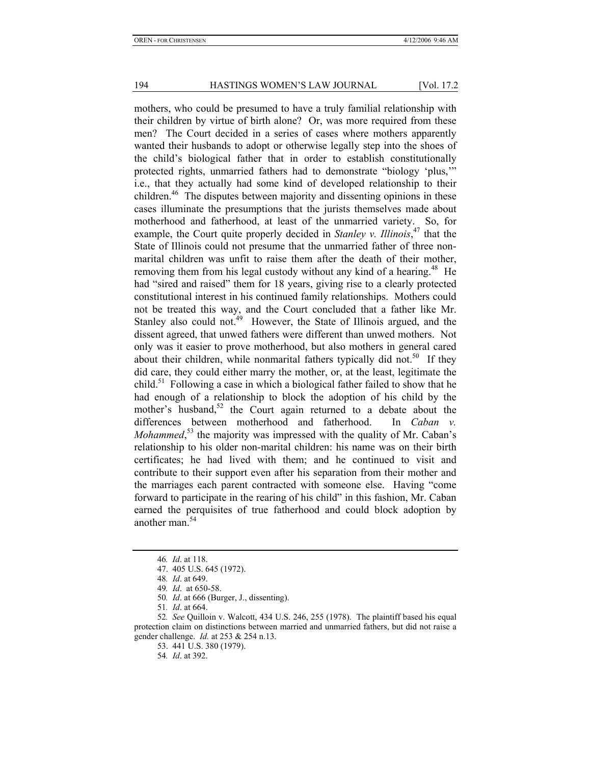mothers, who could be presumed to have a truly familial relationship with their children by virtue of birth alone? Or, was more required from these men? The Court decided in a series of cases where mothers apparently wanted their husbands to adopt or otherwise legally step into the shoes of the child's biological father that in order to establish constitutionally protected rights, unmarried fathers had to demonstrate "biology 'plus,'" i.e., that they actually had some kind of developed relationship to their children.<sup>46</sup> The disputes between majority and dissenting opinions in these cases illuminate the presumptions that the jurists themselves made about motherhood and fatherhood, at least of the unmarried variety. So, for example, the Court quite properly decided in *Stanley v. Illinois*, 47 that the State of Illinois could not presume that the unmarried father of three nonmarital children was unfit to raise them after the death of their mother, removing them from his legal custody without any kind of a hearing.<sup>48</sup> He had "sired and raised" them for 18 years, giving rise to a clearly protected constitutional interest in his continued family relationships. Mothers could not be treated this way, and the Court concluded that a father like Mr. Stanley also could not.<sup>49</sup> However, the State of Illinois argued, and the dissent agreed, that unwed fathers were different than unwed mothers. Not only was it easier to prove motherhood, but also mothers in general cared about their children, while nonmarital fathers typically did not.<sup>50</sup> If they did care, they could either marry the mother, or, at the least, legitimate the child.<sup>51</sup> Following a case in which a biological father failed to show that he had enough of a relationship to block the adoption of his child by the mother's husband, $52$  the Court again returned to a debate about the differences between motherhood and fatherhood. In *Caban v. Mohammed*<sup>53</sup>, the majority was impressed with the quality of Mr. Caban's relationship to his older non-marital children: his name was on their birth certificates; he had lived with them; and he continued to visit and contribute to their support even after his separation from their mother and the marriages each parent contracted with someone else. Having "come forward to participate in the rearing of his child" in this fashion, Mr. Caban earned the perquisites of true fatherhood and could block adoption by another man.<sup>54</sup>

<sup>46</sup>*. Id*. at 118.

 <sup>47. 405</sup> U.S. 645 (1972).

<sup>48</sup>*. Id*. at 649.

<sup>49</sup>*. Id*. at 650-58.

<sup>50</sup>*. Id*. at 666 (Burger, J., dissenting).

<sup>51</sup>*. Id*. at 664.

<sup>52</sup>*. See* Quilloin v. Walcott, 434 U.S. 246, 255 (1978). The plaintiff based his equal protection claim on distinctions between married and unmarried fathers, but did not raise a gender challenge. *Id.* at 253 & 254 n.13.

 <sup>53. 441</sup> U.S. 380 (1979).

<sup>54</sup>*. Id*. at 392.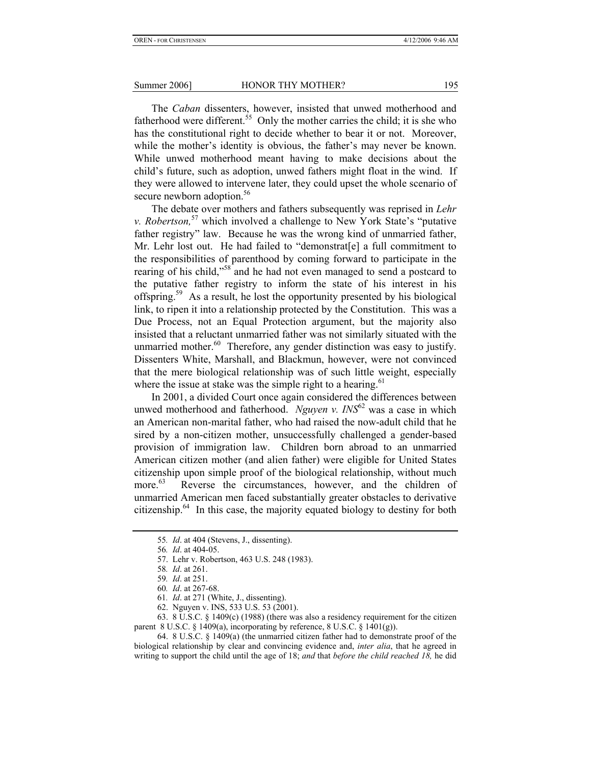The *Caban* dissenters, however, insisted that unwed motherhood and fatherhood were different.<sup>55</sup> Only the mother carries the child; it is she who has the constitutional right to decide whether to bear it or not. Moreover, while the mother's identity is obvious, the father's may never be known. While unwed motherhood meant having to make decisions about the child's future, such as adoption, unwed fathers might float in the wind. If they were allowed to intervene later, they could upset the whole scenario of secure newborn adoption.<sup>56</sup>

The debate over mothers and fathers subsequently was reprised in *Lehr v. Robertson*<sup>57</sup> which involved a challenge to New York State's "putative" father registry" law. Because he was the wrong kind of unmarried father, Mr. Lehr lost out. He had failed to "demonstrat[e] a full commitment to the responsibilities of parenthood by coming forward to participate in the rearing of his child,"<sup>58</sup> and he had not even managed to send a postcard to the putative father registry to inform the state of his interest in his offspring.59 As a result, he lost the opportunity presented by his biological link, to ripen it into a relationship protected by the Constitution. This was a Due Process, not an Equal Protection argument, but the majority also insisted that a reluctant unmarried father was not similarly situated with the unmarried mother. $60$  Therefore, any gender distinction was easy to justify. Dissenters White, Marshall, and Blackmun, however, were not convinced that the mere biological relationship was of such little weight, especially where the issue at stake was the simple right to a hearing.<sup>61</sup>

In 2001, a divided Court once again considered the differences between unwed motherhood and fatherhood. *Nguyen v. INS*<sup>62</sup> was a case in which an American non-marital father, who had raised the now-adult child that he sired by a non-citizen mother, unsuccessfully challenged a gender-based provision of immigration law. Children born abroad to an unmarried American citizen mother (and alien father) were eligible for United States citizenship upon simple proof of the biological relationship, without much more.<sup>63</sup> Reverse the circumstances, however, and the children of unmarried American men faced substantially greater obstacles to derivative citizenship. $64$  In this case, the majority equated biology to destiny for both

 63. 8 U.S.C. § 1409(c) (1988) (there was also a residency requirement for the citizen parent 8 U.S.C.  $\S$  1409(a), incorporating by reference, 8 U.S.C.  $\S$  1401(g)).

 64. 8 U.S.C. § 1409(a) (the unmarried citizen father had to demonstrate proof of the biological relationship by clear and convincing evidence and, *inter alia*, that he agreed in writing to support the child until the age of 18; *and* that *before the child reached 18,* he did

<sup>55</sup>*. Id*. at 404 (Stevens, J., dissenting).

<sup>56</sup>*. Id*. at 404-05.

 <sup>57.</sup> Lehr v. Robertson, 463 U.S. 248 (1983).

<sup>58</sup>*. Id*. at 261.

<sup>59</sup>*. Id*. at 251.

<sup>60</sup>*. Id*. at 267-68.

<sup>61</sup>*. Id*. at 271 (White, J., dissenting).

 <sup>62.</sup> Nguyen v. INS, 533 U.S. 53 (2001).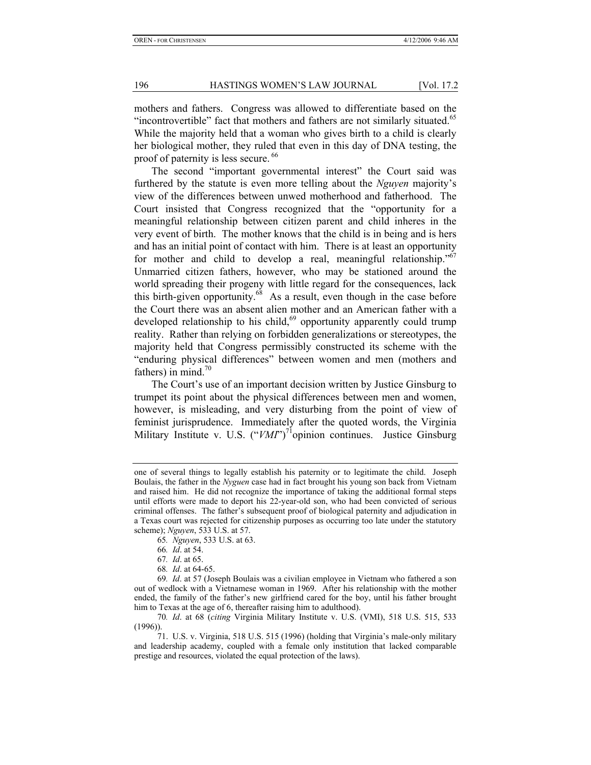mothers and fathers. Congress was allowed to differentiate based on the "incontrovertible" fact that mothers and fathers are not similarly situated.<sup>65</sup> While the majority held that a woman who gives birth to a child is clearly her biological mother, they ruled that even in this day of DNA testing, the proof of paternity is less secure. <sup>66</sup>

The second "important governmental interest" the Court said was furthered by the statute is even more telling about the *Nguyen* majority's view of the differences between unwed motherhood and fatherhood. The Court insisted that Congress recognized that the "opportunity for a meaningful relationship between citizen parent and child inheres in the very event of birth. The mother knows that the child is in being and is hers and has an initial point of contact with him. There is at least an opportunity for mother and child to develop a real, meaningful relationship.<sup> $567$ </sup> Unmarried citizen fathers, however, who may be stationed around the world spreading their progeny with little regard for the consequences, lack this birth-given opportunity. $68$  As a result, even though in the case before the Court there was an absent alien mother and an American father with a developed relationship to his child, $69$  opportunity apparently could trump reality. Rather than relying on forbidden generalizations or stereotypes, the majority held that Congress permissibly constructed its scheme with the "enduring physical differences" between women and men (mothers and fathers) in mind.<sup>70</sup>

The Court's use of an important decision written by Justice Ginsburg to trumpet its point about the physical differences between men and women, however, is misleading, and very disturbing from the point of view of feminist jurisprudence. Immediately after the quoted words, the Virginia Military Institute v. U.S. ("VMI")<sup>71</sup>opinion continues. Justice Ginsburg

one of several things to legally establish his paternity or to legitimate the child. Joseph Boulais, the father in the *Nyguen* case had in fact brought his young son back from Vietnam and raised him. He did not recognize the importance of taking the additional formal steps until efforts were made to deport his 22-year-old son, who had been convicted of serious criminal offenses. The father's subsequent proof of biological paternity and adjudication in a Texas court was rejected for citizenship purposes as occurring too late under the statutory scheme); *Nguyen*, 533 U.S. at 57.

<sup>65</sup>*. Nguyen*, 533 U.S. at 63.

<sup>66</sup>*. Id*. at 54.

<sup>67</sup>*. Id*. at 65.

<sup>68</sup>*. Id*. at 64-65.

<sup>69</sup>*. Id*. at 57 (Joseph Boulais was a civilian employee in Vietnam who fathered a son out of wedlock with a Vietnamese woman in 1969. After his relationship with the mother ended, the family of the father's new girlfriend cared for the boy, until his father brought him to Texas at the age of 6, thereafter raising him to adulthood).

<sup>70</sup>*. Id*. at 68 (*citing* Virginia Military Institute v. U.S. (VMI), 518 U.S. 515, 533 (1996)).

 <sup>71.</sup> U.S. v. Virginia, 518 U.S. 515 (1996) (holding that Virginia's male-only military and leadership academy, coupled with a female only institution that lacked comparable prestige and resources, violated the equal protection of the laws).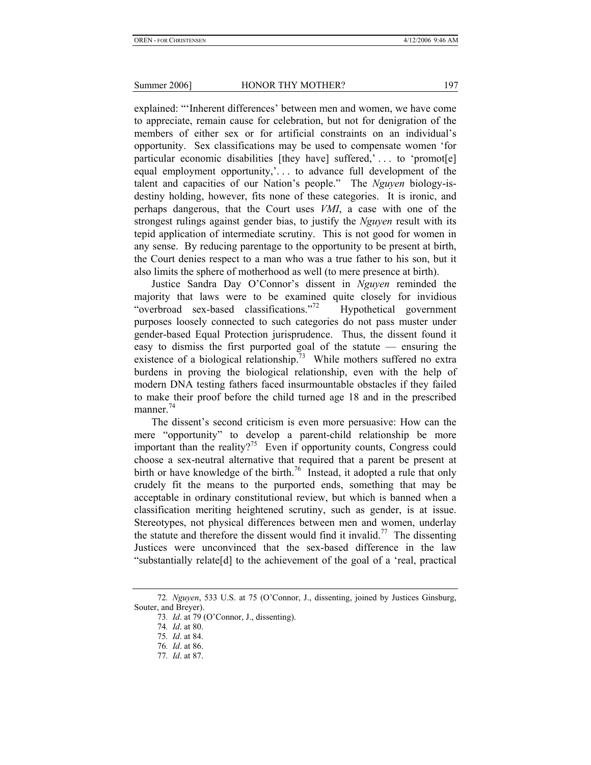explained: "'Inherent differences' between men and women, we have come to appreciate, remain cause for celebration, but not for denigration of the members of either sex or for artificial constraints on an individual's opportunity. Sex classifications may be used to compensate women 'for particular economic disabilities [they have] suffered,' . . . to 'promot[e] equal employment opportunity,'. . . to advance full development of the talent and capacities of our Nation's people." The *Nguyen* biology-isdestiny holding, however, fits none of these categories. It is ironic, and perhaps dangerous, that the Court uses *VMI*, a case with one of the strongest rulings against gender bias, to justify the *Nguyen* result with its tepid application of intermediate scrutiny. This is not good for women in any sense. By reducing parentage to the opportunity to be present at birth, the Court denies respect to a man who was a true father to his son, but it also limits the sphere of motherhood as well (to mere presence at birth).

Justice Sandra Day O'Connor's dissent in *Nguyen* reminded the majority that laws were to be examined quite closely for invidious "overbroad sex-based classifications."<sup>72</sup> Hypothetical government purposes loosely connected to such categories do not pass muster under gender-based Equal Protection jurisprudence. Thus, the dissent found it easy to dismiss the first purported goal of the statute — ensuring the existence of a biological relationship.<sup>73</sup> While mothers suffered no extra burdens in proving the biological relationship, even with the help of modern DNA testing fathers faced insurmountable obstacles if they failed to make their proof before the child turned age 18 and in the prescribed manner. $^{74}$ 

The dissent's second criticism is even more persuasive: How can the mere "opportunity" to develop a parent-child relationship be more important than the reality?<sup>75</sup> Even if opportunity counts, Congress could choose a sex-neutral alternative that required that a parent be present at birth or have knowledge of the birth.<sup>76</sup> Instead, it adopted a rule that only crudely fit the means to the purported ends, something that may be acceptable in ordinary constitutional review, but which is banned when a classification meriting heightened scrutiny, such as gender, is at issue. Stereotypes, not physical differences between men and women, underlay the statute and therefore the dissent would find it invalid.<sup>77</sup> The dissenting Justices were unconvinced that the sex-based difference in the law "substantially relate[d] to the achievement of the goal of a 'real, practical

<sup>72</sup>*. Nguyen*, 533 U.S. at 75 (O'Connor, J., dissenting, joined by Justices Ginsburg, Souter, and Breyer).

<sup>73</sup>*. Id*. at 79 (O'Connor, J., dissenting).

<sup>74</sup>*. Id*. at 80.

<sup>75</sup>*. Id*. at 84.

<sup>76</sup>*. Id*. at 86.

<sup>77</sup>*. Id*. at 87.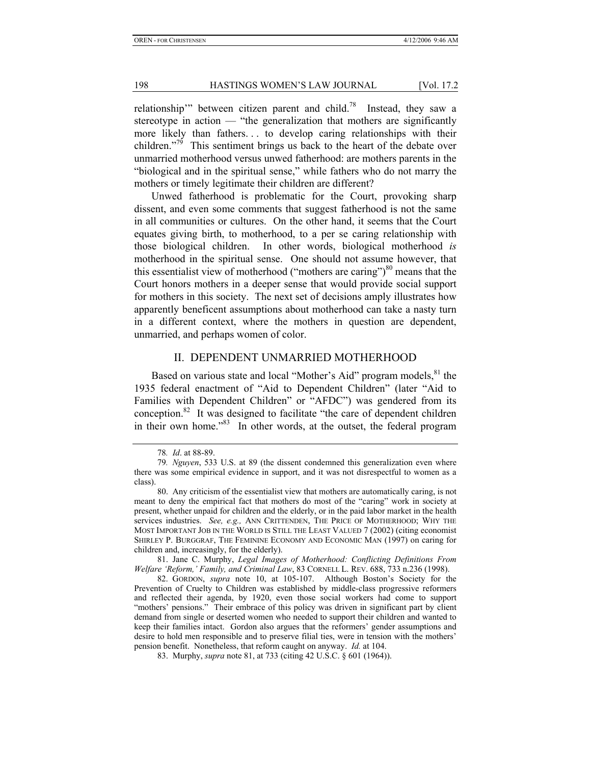relationship'" between citizen parent and child.<sup>78</sup> Instead, they saw a stereotype in action — "the generalization that mothers are significantly more likely than fathers. . . to develop caring relationships with their children."<sup>79</sup> This sentiment brings us back to the heart of the debate over unmarried motherhood versus unwed fatherhood: are mothers parents in the "biological and in the spiritual sense," while fathers who do not marry the mothers or timely legitimate their children are different?

Unwed fatherhood is problematic for the Court, provoking sharp dissent, and even some comments that suggest fatherhood is not the same in all communities or cultures. On the other hand, it seems that the Court equates giving birth, to motherhood, to a per se caring relationship with those biological children. In other words, biological motherhood *is* motherhood in the spiritual sense. One should not assume however, that this essentialist view of motherhood ("mothers are caring")<sup>80</sup> means that the Court honors mothers in a deeper sense that would provide social support for mothers in this society. The next set of decisions amply illustrates how apparently beneficent assumptions about motherhood can take a nasty turn in a different context, where the mothers in question are dependent, unmarried, and perhaps women of color.

#### II. DEPENDENT UNMARRIED MOTHERHOOD

Based on various state and local "Mother's Aid" program models, $81$  the 1935 federal enactment of "Aid to Dependent Children" (later "Aid to Families with Dependent Children" or "AFDC") was gendered from its conception.82 It was designed to facilitate "the care of dependent children in their own home."<sup>83</sup> In other words, at the outset, the federal program

<sup>78</sup>*. Id*. at 88-89.

<sup>79</sup>*. Nguyen*, 533 U.S. at 89 (the dissent condemned this generalization even where there was some empirical evidence in support, and it was not disrespectful to women as a class).

 <sup>80.</sup> Any criticism of the essentialist view that mothers are automatically caring, is not meant to deny the empirical fact that mothers do most of the "caring" work in society at present, whether unpaid for children and the elderly, or in the paid labor market in the health services industries. *See, e.g., ANN CRITTENDEN*, THE PRICE OF MOTHERHOOD; WHY THE MOST IMPORTANT JOB IN THE WORLD IS STILL THE LEAST VALUED 7 (2002) (citing economist SHIRLEY P. BURGGRAF, THE FEMININE ECONOMY AND ECONOMIC MAN (1997) on caring for children and, increasingly, for the elderly).

 <sup>81.</sup> Jane C. Murphy, *Legal Images of Motherhood: Conflicting Definitions From Welfare 'Reform,' Family, and Criminal Law*, 83 CORNELL L. REV. 688, 733 n.236 (1998).

 <sup>82.</sup> GORDON, *supra* note 10, at 105-107. Although Boston's Society for the Prevention of Cruelty to Children was established by middle-class progressive reformers and reflected their agenda, by 1920, even those social workers had come to support "mothers' pensions." Their embrace of this policy was driven in significant part by client demand from single or deserted women who needed to support their children and wanted to keep their families intact. Gordon also argues that the reformers' gender assumptions and desire to hold men responsible and to preserve filial ties, were in tension with the mothers' pension benefit. Nonetheless, that reform caught on anyway. *Id.* at 104.

 <sup>83.</sup> Murphy, *supra* note 81, at 733 (citing 42 U.S.C. § 601 (1964)).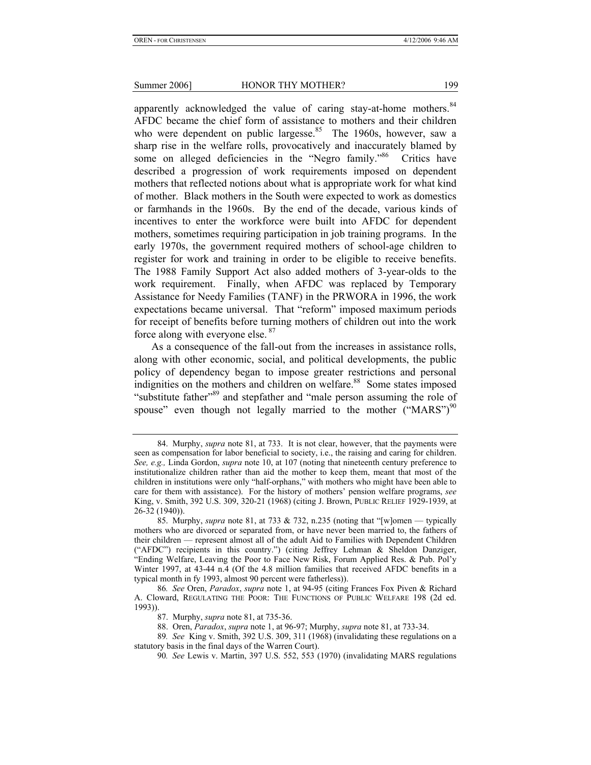apparently acknowledged the value of caring stay-at-home mothers.<sup>84</sup> AFDC became the chief form of assistance to mothers and their children who were dependent on public largesse.<sup>85</sup> The 1960s, however, saw a sharp rise in the welfare rolls, provocatively and inaccurately blamed by some on alleged deficiencies in the "Negro family."<sup>86</sup> Critics have described a progression of work requirements imposed on dependent mothers that reflected notions about what is appropriate work for what kind of mother. Black mothers in the South were expected to work as domestics or farmhands in the 1960s. By the end of the decade, various kinds of incentives to enter the workforce were built into AFDC for dependent mothers, sometimes requiring participation in job training programs. In the early 1970s, the government required mothers of school-age children to register for work and training in order to be eligible to receive benefits. The 1988 Family Support Act also added mothers of 3-year-olds to the work requirement. Finally, when AFDC was replaced by Temporary Assistance for Needy Families (TANF) in the PRWORA in 1996, the work expectations became universal. That "reform" imposed maximum periods for receipt of benefits before turning mothers of children out into the work force along with everyone else.  $87$ 

As a consequence of the fall-out from the increases in assistance rolls, along with other economic, social, and political developments, the public policy of dependency began to impose greater restrictions and personal indignities on the mothers and children on welfare.<sup>88</sup> Some states imposed "substitute father"<sup>89</sup> and stepfather and "male person assuming the role of spouse" even though not legally married to the mother  $("MARS")<sup>90</sup>$ 

 <sup>84.</sup> Murphy, *supra* note 81, at 733. It is not clear, however, that the payments were seen as compensation for labor beneficial to society, i.e., the raising and caring for children. *See, e.g.,* Linda Gordon, *supra* note 10, at 107 (noting that nineteenth century preference to institutionalize children rather than aid the mother to keep them, meant that most of the children in institutions were only "half-orphans," with mothers who might have been able to care for them with assistance). For the history of mothers' pension welfare programs, *see* King, v. Smith, 392 U.S. 309, 320-21 (1968) (citing J. Brown, PUBLIC RELIEF 1929-1939, at 26-32 (1940)).

 <sup>85.</sup> Murphy, *supra* note 81, at 733 & 732, n.235 (noting that "[w]omen — typically mothers who are divorced or separated from, or have never been married to, the fathers of their children — represent almost all of the adult Aid to Families with Dependent Children ("AFDC") recipients in this country.") (citing Jeffrey Lehman & Sheldon Danziger, "Ending Welfare, Leaving the Poor to Face New Risk, Forum Applied Res. & Pub. Pol'y Winter 1997, at 43-44 n.4 (Of the 4.8 million families that received AFDC benefits in a typical month in fy 1993, almost 90 percent were fatherless)).

<sup>86</sup>*. See* Oren, *Paradox*, *supra* note 1, at 94-95 (citing Frances Fox Piven & Richard A. Cloward, REGULATING THE POOR: THE FUNCTIONS OF PUBLIC WELFARE 198 (2d ed. 1993)).

 <sup>87.</sup> Murphy, *supra* note 81, at 735-36.

 <sup>88.</sup> Oren, *Paradox*, *supra* note 1, at 96-97; Murphy, *supra* note 81, at 733-34.

<sup>89</sup>*. See* King v. Smith, 392 U.S. 309, 311 (1968) (invalidating these regulations on a statutory basis in the final days of the Warren Court).

<sup>90</sup>*. See* Lewis v. Martin, 397 U.S. 552, 553 (1970) (invalidating MARS regulations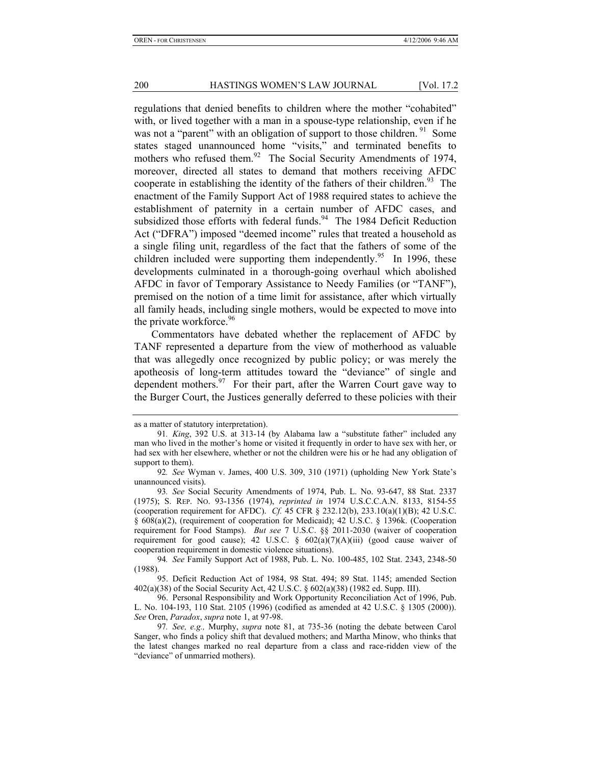regulations that denied benefits to children where the mother "cohabited" with, or lived together with a man in a spouse-type relationship, even if he was not a "parent" with an obligation of support to those children. <sup>91</sup> Some states staged unannounced home "visits," and terminated benefits to mothers who refused them.<sup>92</sup> The Social Security Amendments of 1974, moreover, directed all states to demand that mothers receiving AFDC cooperate in establishing the identity of the fathers of their children.<sup>93</sup> The enactment of the Family Support Act of 1988 required states to achieve the establishment of paternity in a certain number of AFDC cases, and subsidized those efforts with federal funds. $94$  The 1984 Deficit Reduction Act ("DFRA") imposed "deemed income" rules that treated a household as a single filing unit, regardless of the fact that the fathers of some of the children included were supporting them independently.<sup>95</sup> In 1996, these developments culminated in a thorough-going overhaul which abolished AFDC in favor of Temporary Assistance to Needy Families (or "TANF"), premised on the notion of a time limit for assistance, after which virtually all family heads, including single mothers, would be expected to move into the private workforce.<sup>96</sup>

Commentators have debated whether the replacement of AFDC by TANF represented a departure from the view of motherhood as valuable that was allegedly once recognized by public policy; or was merely the apotheosis of long-term attitudes toward the "deviance" of single and dependent mothers. $97$  For their part, after the Warren Court gave way to the Burger Court, the Justices generally deferred to these policies with their

as a matter of statutory interpretation).

<sup>91</sup>*. King*, 392 U.S. at 313-14 (by Alabama law a "substitute father" included any man who lived in the mother's home or visited it frequently in order to have sex with her, or had sex with her elsewhere, whether or not the children were his or he had any obligation of support to them).

<sup>92</sup>*. See* Wyman v. James, 400 U.S. 309, 310 (1971) (upholding New York State's unannounced visits).

<sup>93</sup>*. See* Social Security Amendments of 1974, Pub. L. No. 93-647, 88 Stat. 2337 (1975); S. REP. NO. 93-1356 (1974), *reprinted in* 1974 U.S.C.C.A.N. 8133, 8154-55 (cooperation requirement for AFDC). *Cf.* 45 CFR § 232.12(b), 233.10(a)(1)(B); 42 U.S.C. § 608(a)(2), (requirement of cooperation for Medicaid); 42 U.S.C. § 1396k. (Cooperation requirement for Food Stamps). *But see* 7 U.S.C. §§ 2011-2030 (waiver of cooperation requirement for good cause); 42 U.S.C. §  $602(a)(7)(A)(iii)$  (good cause waiver of cooperation requirement in domestic violence situations).

<sup>94</sup>*. See* Family Support Act of 1988, Pub. L. No. 100-485, 102 Stat. 2343, 2348-50 (1988).

 <sup>95.</sup> Deficit Reduction Act of 1984, 98 Stat. 494; 89 Stat. 1145; amended Section 402(a)(38) of the Social Security Act, 42 U.S.C. § 602(a)(38) (1982 ed. Supp. III).

 <sup>96.</sup> Personal Responsibility and Work Opportunity Reconciliation Act of 1996, Pub. L. No. 104-193, 110 Stat. 2105 (1996) (codified as amended at 42 U.S.C. § 1305 (2000)). *See* Oren, *Paradox*, *supra* note 1, at 97-98.

<sup>97</sup>*. See, e.g.,* Murphy, *supra* note 81, at 735-36 (noting the debate between Carol Sanger, who finds a policy shift that devalued mothers; and Martha Minow, who thinks that the latest changes marked no real departure from a class and race-ridden view of the "deviance" of unmarried mothers).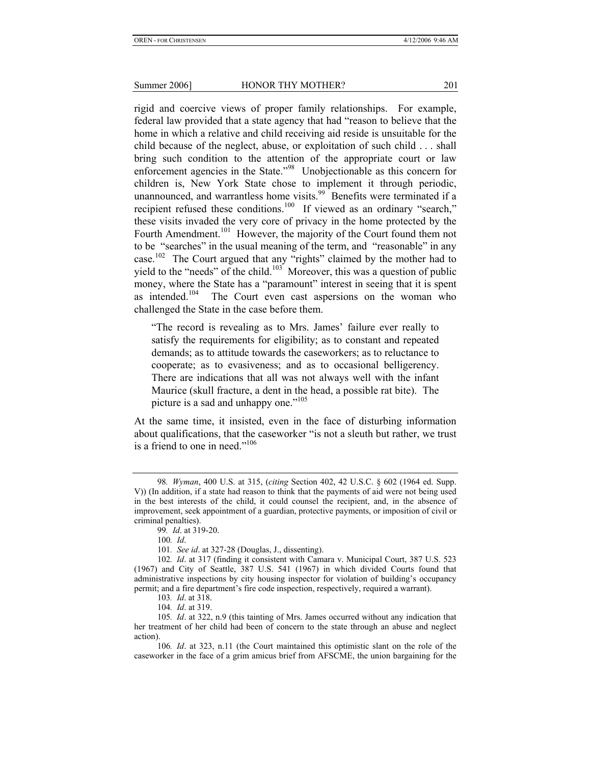rigid and coercive views of proper family relationships. For example, federal law provided that a state agency that had "reason to believe that the home in which a relative and child receiving aid reside is unsuitable for the child because of the neglect, abuse, or exploitation of such child . . . shall bring such condition to the attention of the appropriate court or law enforcement agencies in the State."<sup>98</sup> Unobjectionable as this concern for children is, New York State chose to implement it through periodic, unannounced, and warrantless home visits.<sup>99</sup> Benefits were terminated if a recipient refused these conditions.<sup>100</sup> If viewed as an ordinary "search," these visits invaded the very core of privacy in the home protected by the Fourth Amendment.<sup>101</sup> However, the majority of the Court found them not to be "searches" in the usual meaning of the term, and "reasonable" in any case.<sup>102</sup> The Court argued that any "rights" claimed by the mother had to yield to the "needs" of the child.<sup>103</sup> Moreover, this was a question of public money, where the State has a "paramount" interest in seeing that it is spent as intended.<sup>104</sup> The Court even cast aspersions on the woman who challenged the State in the case before them.

"The record is revealing as to Mrs. James' failure ever really to satisfy the requirements for eligibility; as to constant and repeated demands; as to attitude towards the caseworkers; as to reluctance to cooperate; as to evasiveness; and as to occasional belligerency. There are indications that all was not always well with the infant Maurice (skull fracture, a dent in the head, a possible rat bite). The picture is a sad and unhappy one."<sup>105</sup>

At the same time, it insisted, even in the face of disturbing information about qualifications, that the caseworker "is not a sleuth but rather, we trust is a friend to one in need."<sup>106</sup>

101*. See id*. at 327-28 (Douglas, J., dissenting).

<sup>98</sup>*. Wyman*, 400 U.S. at 315, (*citing* Section 402, 42 U.S.C. § 602 (1964 ed. Supp. V)) (In addition, if a state had reason to think that the payments of aid were not being used in the best interests of the child, it could counsel the recipient, and, in the absence of improvement, seek appointment of a guardian, protective payments, or imposition of civil or criminal penalties).

<sup>99</sup>*. Id*. at 319-20.

<sup>100</sup>*. Id*.

<sup>102</sup>*. Id*. at 317 (finding it consistent with Camara v. Municipal Court, 387 U.S. 523 (1967) and City of Seattle, 387 U.S. 541 (1967) in which divided Courts found that administrative inspections by city housing inspector for violation of building's occupancy permit; and a fire department's fire code inspection, respectively, required a warrant).

<sup>103</sup>*. Id*. at 318.

<sup>104</sup>*. Id*. at 319.

<sup>105</sup>*. Id*. at 322, n.9 (this tainting of Mrs. James occurred without any indication that her treatment of her child had been of concern to the state through an abuse and neglect action).

<sup>106</sup>*. Id*. at 323, n.11 (the Court maintained this optimistic slant on the role of the caseworker in the face of a grim amicus brief from AFSCME, the union bargaining for the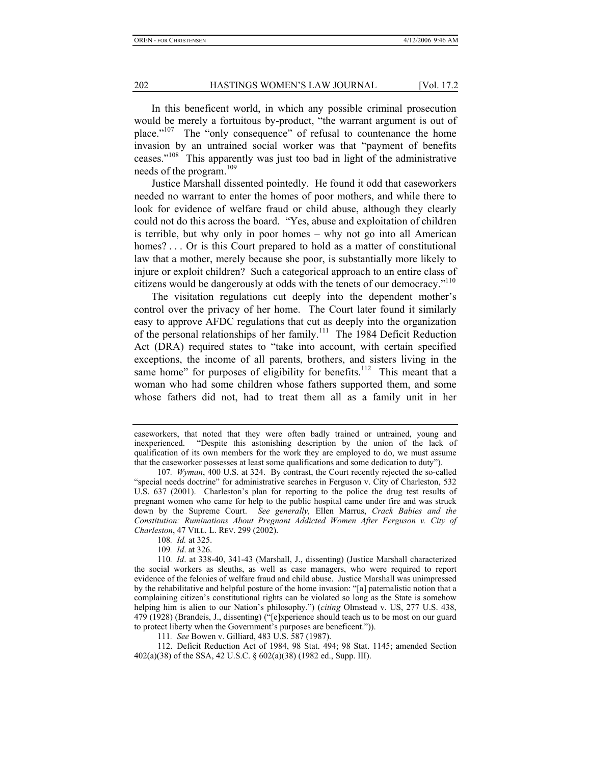In this beneficent world, in which any possible criminal prosecution would be merely a fortuitous by-product, "the warrant argument is out of place."<sup>107</sup> The "only consequence" of refusal to countenance the home invasion by an untrained social worker was that "payment of benefits ceases."108 This apparently was just too bad in light of the administrative needs of the program.<sup>109</sup>

Justice Marshall dissented pointedly. He found it odd that caseworkers needed no warrant to enter the homes of poor mothers, and while there to look for evidence of welfare fraud or child abuse, although they clearly could not do this across the board. "Yes, abuse and exploitation of children is terrible, but why only in poor homes – why not go into all American homes? . . . Or is this Court prepared to hold as a matter of constitutional law that a mother, merely because she poor, is substantially more likely to injure or exploit children? Such a categorical approach to an entire class of citizens would be dangerously at odds with the tenets of our democracy."<sup>110</sup>

The visitation regulations cut deeply into the dependent mother's control over the privacy of her home. The Court later found it similarly easy to approve AFDC regulations that cut as deeply into the organization of the personal relationships of her family.<sup>111</sup> The 1984 Deficit Reduction Act (DRA) required states to "take into account, with certain specified exceptions, the income of all parents, brothers, and sisters living in the same home" for purposes of eligibility for benefits.<sup>112</sup> This meant that a woman who had some children whose fathers supported them, and some whose fathers did not, had to treat them all as a family unit in her

111*. See* Bowen v. Gilliard, 483 U.S. 587 (1987).

 112. Deficit Reduction Act of 1984, 98 Stat. 494; 98 Stat. 1145; amended Section 402(a)(38) of the SSA, 42 U.S.C. § 602(a)(38) (1982 ed., Supp. III).

caseworkers, that noted that they were often badly trained or untrained, young and inexperienced. "Despite this astonishing description by the union of the lack of qualification of its own members for the work they are employed to do, we must assume that the caseworker possesses at least some qualifications and some dedication to duty").

<sup>107</sup>*. Wyman*, 400 U.S. at 324. By contrast, the Court recently rejected the so-called "special needs doctrine" for administrative searches in Ferguson v. City of Charleston, 532 U.S. 637 (2001). Charleston's plan for reporting to the police the drug test results of pregnant women who came for help to the public hospital came under fire and was struck down by the Supreme Court. *See generally,* Ellen Marrus, *Crack Babies and the Constitution: Ruminations About Pregnant Addicted Women After Ferguson v. City of Charleston*, 47 VILL. L. REV. 299 (2002).

<sup>108</sup>*. Id.* at 325.

<sup>109</sup>*. Id*. at 326.

<sup>110</sup>*. Id*. at 338-40, 341-43 (Marshall, J., dissenting) (Justice Marshall characterized the social workers as sleuths, as well as case managers, who were required to report evidence of the felonies of welfare fraud and child abuse. Justice Marshall was unimpressed by the rehabilitative and helpful posture of the home invasion: "[a] paternalistic notion that a complaining citizen's constitutional rights can be violated so long as the State is somehow helping him is alien to our Nation's philosophy.") (*citing* Olmstead v. US, 277 U.S. 438, 479 (1928) (Brandeis, J., dissenting) ("[e]xperience should teach us to be most on our guard to protect liberty when the Government's purposes are beneficent.")).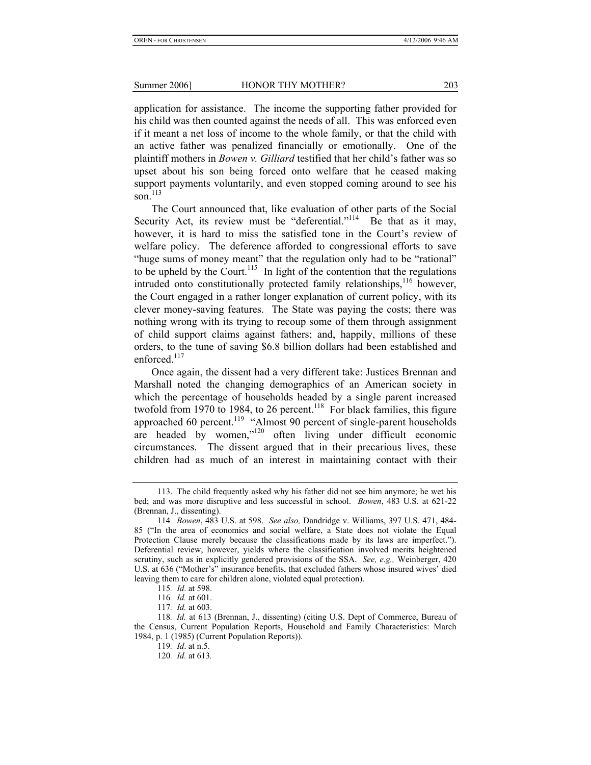application for assistance. The income the supporting father provided for his child was then counted against the needs of all. This was enforced even if it meant a net loss of income to the whole family, or that the child with an active father was penalized financially or emotionally. One of the plaintiff mothers in *Bowen v. Gilliard* testified that her child's father was so upset about his son being forced onto welfare that he ceased making support payments voluntarily, and even stopped coming around to see his son. $^{113}$ 

The Court announced that, like evaluation of other parts of the Social Security Act, its review must be "deferential."<sup>114</sup> Be that as it may, however, it is hard to miss the satisfied tone in the Court's review of welfare policy. The deference afforded to congressional efforts to save "huge sums of money meant" that the regulation only had to be "rational" to be upheld by the Court.<sup>115</sup> In light of the contention that the regulations intruded onto constitutionally protected family relationships, $116$  however, the Court engaged in a rather longer explanation of current policy, with its clever money-saving features. The State was paying the costs; there was nothing wrong with its trying to recoup some of them through assignment of child support claims against fathers; and, happily, millions of these orders, to the tune of saving \$6.8 billion dollars had been established and enforced.<sup>117</sup>

Once again, the dissent had a very different take: Justices Brennan and Marshall noted the changing demographics of an American society in which the percentage of households headed by a single parent increased twofold from 1970 to 1984, to 26 percent.<sup>118</sup> For black families, this figure approached 60 percent.<sup>119</sup> "Almost 90 percent of single-parent households are headed by women,"120 often living under difficult economic circumstances. The dissent argued that in their precarious lives, these children had as much of an interest in maintaining contact with their

 <sup>113.</sup> The child frequently asked why his father did not see him anymore; he wet his bed; and was more disruptive and less successful in school. *Bowen*, 483 U.S. at 621-22 (Brennan, J., dissenting).

<sup>114</sup>*. Bowen*, 483 U.S. at 598. *See also,* Dandridge v. Williams, 397 U.S. 471, 484- 85 ("In the area of economics and social welfare, a State does not violate the Equal Protection Clause merely because the classifications made by its laws are imperfect."). Deferential review, however, yields where the classification involved merits heightened scrutiny, such as in explicitly gendered provisions of the SSA. *See, e.g.,* Weinberger, 420 U.S. at 636 ("Mother's" insurance benefits, that excluded fathers whose insured wives' died leaving them to care for children alone, violated equal protection).

<sup>115</sup>*. Id*. at 598.

<sup>116</sup>*. Id.* at 601.

<sup>117</sup>*. Id.* at 603.

<sup>118</sup>*. Id.* at 613 (Brennan, J., dissenting) (citing U.S. Dept of Commerce, Bureau of the Census, Current Population Reports, Household and Family Characteristics: March 1984, p. 1 (1985) (Current Population Reports)).

<sup>119</sup>*. Id*. at n.5.

<sup>120</sup>*. Id.* at 613*.*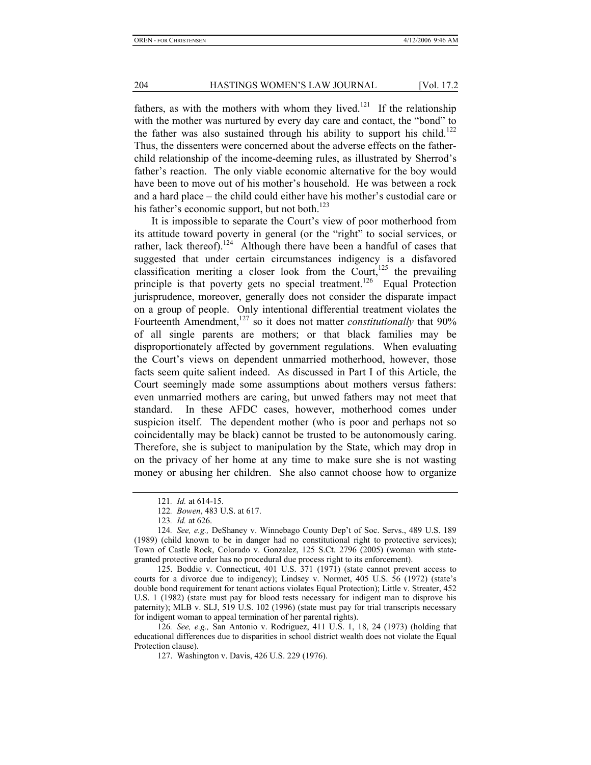fathers, as with the mothers with whom they lived.<sup>121</sup> If the relationship with the mother was nurtured by every day care and contact, the "bond" to the father was also sustained through his ability to support his child.<sup>122</sup> Thus, the dissenters were concerned about the adverse effects on the fatherchild relationship of the income-deeming rules, as illustrated by Sherrod's father's reaction. The only viable economic alternative for the boy would have been to move out of his mother's household. He was between a rock and a hard place – the child could either have his mother's custodial care or his father's economic support, but not both. $^{123}$ 

It is impossible to separate the Court's view of poor motherhood from its attitude toward poverty in general (or the "right" to social services, or rather, lack thereof).<sup>124</sup> Although there have been a handful of cases that suggested that under certain circumstances indigency is a disfavored classification meriting a closer look from the Court,<sup>125</sup> the prevailing principle is that poverty gets no special treatment.<sup>126</sup> Equal Protection jurisprudence, moreover, generally does not consider the disparate impact on a group of people. Only intentional differential treatment violates the Fourteenth Amendment,<sup>127</sup> so it does not matter *constitutionally* that 90% of all single parents are mothers; or that black families may be disproportionately affected by government regulations. When evaluating the Court's views on dependent unmarried motherhood, however, those facts seem quite salient indeed. As discussed in Part I of this Article, the Court seemingly made some assumptions about mothers versus fathers: even unmarried mothers are caring, but unwed fathers may not meet that standard. In these AFDC cases, however, motherhood comes under suspicion itself. The dependent mother (who is poor and perhaps not so coincidentally may be black) cannot be trusted to be autonomously caring. Therefore, she is subject to manipulation by the State, which may drop in on the privacy of her home at any time to make sure she is not wasting money or abusing her children. She also cannot choose how to organize

<sup>121</sup>*. Id.* at 614-15.

<sup>122</sup>*. Bowen*, 483 U.S. at 617.

<sup>123</sup>*. Id.* at 626.

<sup>124</sup>*. See, e.g.,* DeShaney v. Winnebago County Dep't of Soc. Servs., 489 U.S. 189 (1989) (child known to be in danger had no constitutional right to protective services); Town of Castle Rock, Colorado v. Gonzalez, 125 S.Ct. 2796 (2005) (woman with stategranted protective order has no procedural due process right to its enforcement).

 <sup>125.</sup> Boddie v. Connecticut, 401 U.S. 371 (1971) (state cannot prevent access to courts for a divorce due to indigency); Lindsey v. Normet, 405 U.S. 56 (1972) (state's double bond requirement for tenant actions violates Equal Protection); Little v. Streater, 452 U.S. 1 (1982) (state must pay for blood tests necessary for indigent man to disprove his paternity); MLB v. SLJ, 519 U.S. 102 (1996) (state must pay for trial transcripts necessary for indigent woman to appeal termination of her parental rights).

<sup>126</sup>*. See, e.g.,* San Antonio v. Rodriguez, 411 U.S. 1, 18, 24 (1973) (holding that educational differences due to disparities in school district wealth does not violate the Equal Protection clause).

 <sup>127.</sup> Washington v. Davis, 426 U.S. 229 (1976).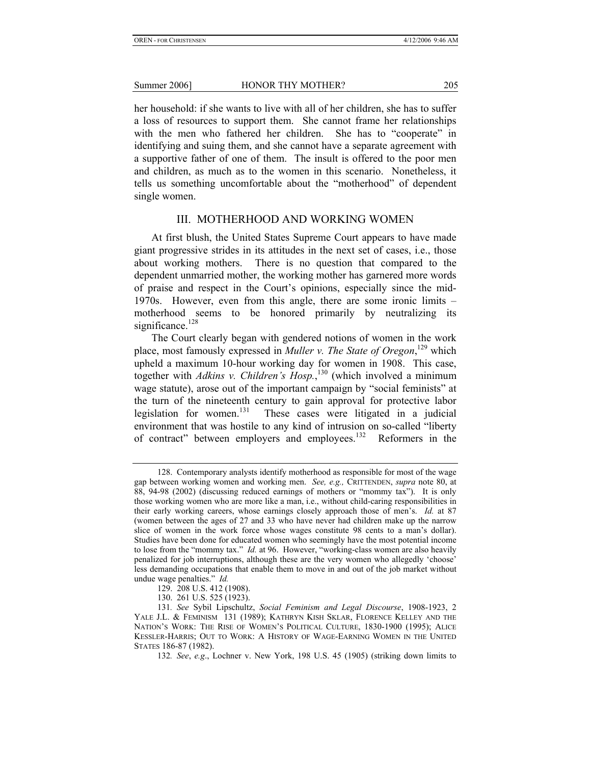her household: if she wants to live with all of her children, she has to suffer a loss of resources to support them. She cannot frame her relationships with the men who fathered her children. She has to "cooperate" in identifying and suing them, and she cannot have a separate agreement with a supportive father of one of them. The insult is offered to the poor men and children, as much as to the women in this scenario. Nonetheless, it tells us something uncomfortable about the "motherhood" of dependent single women.

#### III. MOTHERHOOD AND WORKING WOMEN

At first blush, the United States Supreme Court appears to have made giant progressive strides in its attitudes in the next set of cases, i.e., those about working mothers. There is no question that compared to the dependent unmarried mother, the working mother has garnered more words of praise and respect in the Court's opinions, especially since the mid-1970s. However, even from this angle, there are some ironic limits – motherhood seems to be honored primarily by neutralizing its significance. $128$ 

The Court clearly began with gendered notions of women in the work place, most famously expressed in *Muller v. The State of Oregon*, 129 which upheld a maximum 10-hour working day for women in 1908. This case, together with *Adkins v. Children's Hosp.*, 130 (which involved a minimum wage statute), arose out of the important campaign by "social feminists" at the turn of the nineteenth century to gain approval for protective labor legislation for women.<sup>131</sup> These cases were litigated in a judicial environment that was hostile to any kind of intrusion on so-called "liberty of contract" between employers and employees.132 Reformers in the

 <sup>128.</sup> Contemporary analysts identify motherhood as responsible for most of the wage gap between working women and working men. *See, e.g.,* CRITTENDEN, *supra* note 80, at 88, 94-98 (2002) (discussing reduced earnings of mothers or "mommy tax"). It is only those working women who are more like a man, i.e., without child-caring responsibilities in their early working careers, whose earnings closely approach those of men's. *Id.* at 87 (women between the ages of 27 and 33 who have never had children make up the narrow slice of women in the work force whose wages constitute 98 cents to a man's dollar). Studies have been done for educated women who seemingly have the most potential income to lose from the "mommy tax." *Id.* at 96. However, "working-class women are also heavily penalized for job interruptions, although these are the very women who allegedly 'choose' less demanding occupations that enable them to move in and out of the job market without undue wage penalties." *Id.* 

 <sup>129. 208</sup> U.S. 412 (1908).

 <sup>130. 261</sup> U.S. 525 (1923).

<sup>131</sup>*. See* Sybil Lipschultz, *Social Feminism and Legal Discourse*, 1908-1923, 2 YALE J.L. & FEMINISM 131 (1989); KATHRYN KISH SKLAR, FLORENCE KELLEY AND THE NATION'S WORK: THE RISE OF WOMEN'S POLITICAL CULTURE, 1830-1900 (1995); ALICE KESSLER-HARRIS; OUT TO WORK: A HISTORY OF WAGE-EARNING WOMEN IN THE UNITED STATES 186-87 (1982).

<sup>132</sup>*. See*, *e.g*., Lochner v. New York, 198 U.S. 45 (1905) (striking down limits to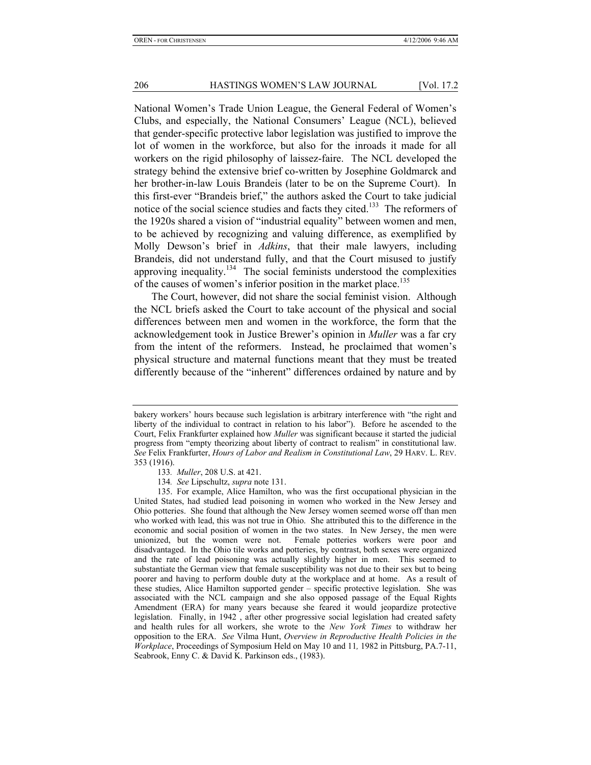National Women's Trade Union League, the General Federal of Women's Clubs, and especially, the National Consumers' League (NCL), believed that gender-specific protective labor legislation was justified to improve the lot of women in the workforce, but also for the inroads it made for all workers on the rigid philosophy of laissez-faire. The NCL developed the strategy behind the extensive brief co-written by Josephine Goldmarck and her brother-in-law Louis Brandeis (later to be on the Supreme Court). In this first-ever "Brandeis brief," the authors asked the Court to take judicial notice of the social science studies and facts they cited.<sup>133</sup> The reformers of the 1920s shared a vision of "industrial equality" between women and men, to be achieved by recognizing and valuing difference, as exemplified by Molly Dewson's brief in *Adkins*, that their male lawyers, including Brandeis, did not understand fully, and that the Court misused to justify approving inequality.<sup>134</sup> The social feminists understood the complexities of the causes of women's inferior position in the market place.<sup>135</sup>

The Court, however, did not share the social feminist vision. Although the NCL briefs asked the Court to take account of the physical and social differences between men and women in the workforce, the form that the acknowledgement took in Justice Brewer's opinion in *Muller* was a far cry from the intent of the reformers. Instead, he proclaimed that women's physical structure and maternal functions meant that they must be treated differently because of the "inherent" differences ordained by nature and by

134*. See* Lipschultz, *supra* note 131.

bakery workers' hours because such legislation is arbitrary interference with "the right and liberty of the individual to contract in relation to his labor"). Before he ascended to the Court, Felix Frankfurter explained how *Muller* was significant because it started the judicial progress from "empty theorizing about liberty of contract to realism" in constitutional law. *See* Felix Frankfurter, *Hours of Labor and Realism in Constitutional Law*, 29 HARV. L. REV. 353 (1916).

<sup>133</sup>*. Muller*, 208 U.S. at 421.

 <sup>135.</sup> For example, Alice Hamilton, who was the first occupational physician in the United States, had studied lead poisoning in women who worked in the New Jersey and Ohio potteries. She found that although the New Jersey women seemed worse off than men who worked with lead, this was not true in Ohio. She attributed this to the difference in the economic and social position of women in the two states. In New Jersey, the men were unionized, but the women were not. Female potteries workers were poor and disadvantaged. In the Ohio tile works and potteries, by contrast, both sexes were organized and the rate of lead poisoning was actually slightly higher in men. This seemed to substantiate the German view that female susceptibility was not due to their sex but to being poorer and having to perform double duty at the workplace and at home. As a result of these studies, Alice Hamilton supported gender – specific protective legislation. She was associated with the NCL campaign and she also opposed passage of the Equal Rights Amendment (ERA) for many years because she feared it would jeopardize protective legislation. Finally, in 1942 , after other progressive social legislation had created safety and health rules for all workers, she wrote to the *New York Times* to withdraw her opposition to the ERA. *See* Vilma Hunt, *Overview in Reproductive Health Policies in the Workplace*, Proceedings of Symposium Held on May 10 and 11*,* 1982 in Pittsburg, PA.7-11, Seabrook, Enny C. & David K. Parkinson eds., (1983).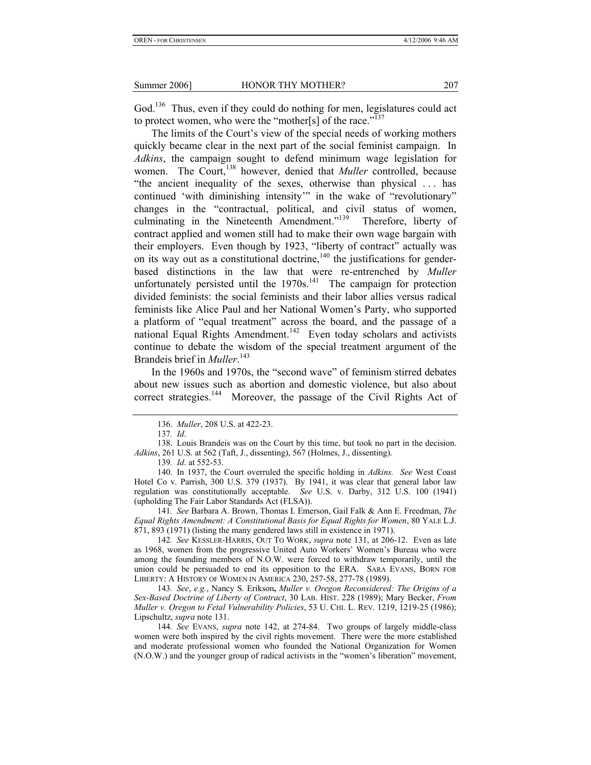God.<sup>136</sup> Thus, even if they could do nothing for men, legislatures could act to protect women, who were the "mother[s] of the race."<sup>137</sup>

The limits of the Court's view of the special needs of working mothers quickly became clear in the next part of the social feminist campaign. In *Adkins*, the campaign sought to defend minimum wage legislation for women. The Court,<sup>138</sup> however, denied that *Muller* controlled, because "the ancient inequality of the sexes, otherwise than physical . . . has continued 'with diminishing intensity'" in the wake of "revolutionary" changes in the "contractual, political, and civil status of women, culminating in the Nineteenth Amendment."139 Therefore, liberty of contract applied and women still had to make their own wage bargain with their employers. Even though by 1923, "liberty of contract" actually was on its way out as a constitutional doctrine,  $140$  the justifications for genderbased distinctions in the law that were re-entrenched by *Muller* unfortunately persisted until the  $1970s$ .<sup>141</sup> The campaign for protection divided feminists: the social feminists and their labor allies versus radical feminists like Alice Paul and her National Women's Party, who supported a platform of "equal treatment" across the board, and the passage of a national Equal Rights Amendment.<sup>142</sup> Even today scholars and activists continue to debate the wisdom of the special treatment argument of the Brandeis brief in *Muller*. 143

In the 1960s and 1970s, the "second wave" of feminism stirred debates about new issues such as abortion and domestic violence, but also about correct strategies.<sup>144</sup> Moreover, the passage of the Civil Rights Act of

139*. Id*. at 552-53.

 140. In 1937, the Court overruled the specific holding in *Adkins. See* West Coast Hotel Co v. Parrish, 300 U.S. 379 (1937). By 1941, it was clear that general labor law regulation was constitutionally acceptable. *See* U.S. v. Darby, 312 U.S. 100 (1941) (upholding The Fair Labor Standards Act (FLSA)).

141*. See* Barbara A. Brown, Thomas I. Emerson, Gail Falk & Ann E. Freedman, *The Equal Rights Amendment: A Constitutional Basis for Equal Rights for Women*, 80 YALE L.J. 871, 893 (1971) (listing the many gendered laws still in existence in 1971).

142*. See* KESSLER-HARRIS, OUT TO WORK, *supra* note 131, at 206-12. Even as late as 1968, women from the progressive United Auto Workers' Women's Bureau who were among the founding members of N.O.W. were forced to withdraw temporarily, until the union could be persuaded to end its opposition to the ERA. SARA EVANS, BORN FOR LIBERTY: A HISTORY OF WOMEN IN AMERICA 230, 257-58, 277-78 (1989).

143*. See*, *e.g.*, Nancy S. Erikson**,** *Muller v. Oregon Reconsidered: The Origins of a Sex-Based Doctrine of Liberty of Contract*, 30 LAB. HIST. 228 (1989); Mary Becker, *From Muller v. Oregon to Fetal Vulnerability Policies*, 53 U. CHI. L. REV. 1219, 1219-25 (1986); Lipschultz, *supra* note 131.

144*. See* EVANS, *supra* note 142, at 274-84. Two groups of largely middle-class women were both inspired by the civil rights movement. There were the more established and moderate professional women who founded the National Organization for Women (N.O.W.) and the younger group of radical activists in the "women's liberation" movement,

 <sup>136.</sup> *Muller*, 208 U.S. at 422-23.

<sup>137</sup>*. Id*.

 <sup>138.</sup> Louis Brandeis was on the Court by this time, but took no part in the decision. *Adkins*, 261 U.S. at 562 (Taft, J., dissenting), 567 (Holmes, J., dissenting).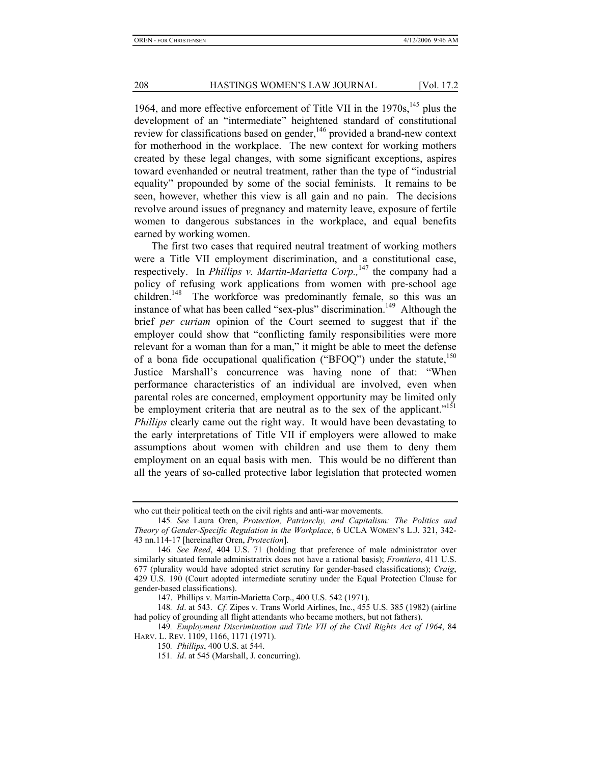1964, and more effective enforcement of Title VII in the  $1970s$ ,  $145$  plus the development of an "intermediate" heightened standard of constitutional review for classifications based on gender,<sup>146</sup> provided a brand-new context for motherhood in the workplace. The new context for working mothers created by these legal changes, with some significant exceptions, aspires toward evenhanded or neutral treatment, rather than the type of "industrial equality" propounded by some of the social feminists. It remains to be seen, however, whether this view is all gain and no pain. The decisions revolve around issues of pregnancy and maternity leave, exposure of fertile women to dangerous substances in the workplace, and equal benefits earned by working women.

The first two cases that required neutral treatment of working mothers were a Title VII employment discrimination, and a constitutional case, respectively. In *Phillips v. Martin-Marietta Corp.*,<sup>147</sup> the company had a policy of refusing work applications from women with pre-school age children.<sup>148</sup> The workforce was predominantly female, so this was an instance of what has been called "sex-plus" discrimination.<sup>149</sup> Although the brief *per curiam* opinion of the Court seemed to suggest that if the employer could show that "conflicting family responsibilities were more relevant for a woman than for a man," it might be able to meet the defense of a bona fide occupational qualification ("BFOQ") under the statute,  $150$ Justice Marshall's concurrence was having none of that: "When performance characteristics of an individual are involved, even when parental roles are concerned, employment opportunity may be limited only be employment criteria that are neutral as to the sex of the applicant."<sup>151</sup> *Phillips* clearly came out the right way. It would have been devastating to the early interpretations of Title VII if employers were allowed to make assumptions about women with children and use them to deny them employment on an equal basis with men. This would be no different than all the years of so-called protective labor legislation that protected women

who cut their political teeth on the civil rights and anti-war movements.

<sup>145</sup>*. See* Laura Oren, *Protection, Patriarchy, and Capitalism: The Politics and Theory of Gender-Specific Regulation in the Workplace*, 6 UCLA WOMEN'S L.J. 321, 342- 43 nn.114-17 [hereinafter Oren, *Protection*].

<sup>146</sup>*. See Reed*, 404 U.S. 71 (holding that preference of male administrator over similarly situated female administratrix does not have a rational basis); *Frontiero*, 411 U.S. 677 (plurality would have adopted strict scrutiny for gender-based classifications); *Craig*, 429 U.S. 190 (Court adopted intermediate scrutiny under the Equal Protection Clause for gender-based classifications).

 <sup>147.</sup> Phillips v. Martin-Marietta Corp., 400 U.S. 542 (1971).

<sup>148</sup>*. Id*. at 543. *Cf.* Zipes v. Trans World Airlines, Inc., 455 U.S. 385 (1982) (airline had policy of grounding all flight attendants who became mothers, but not fathers).

<sup>149</sup>*. Employment Discrimination and Title VII of the Civil Rights Act of 1964*, 84 HARV. L. REV. 1109, 1166, 1171 (1971).

<sup>150</sup>*. Phillips*, 400 U.S. at 544.

<sup>151</sup>*. Id*. at 545 (Marshall, J. concurring).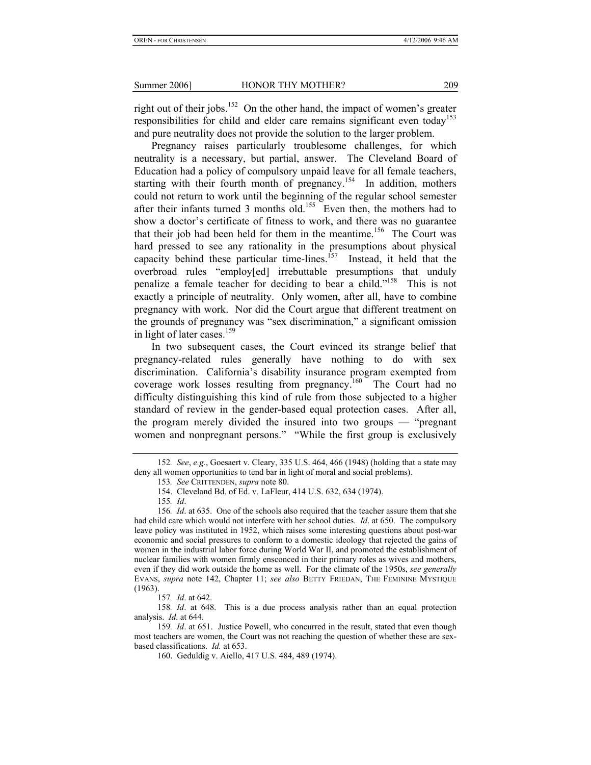right out of their jobs.<sup>152</sup> On the other hand, the impact of women's greater responsibilities for child and elder care remains significant even today<sup>153</sup> and pure neutrality does not provide the solution to the larger problem.

Pregnancy raises particularly troublesome challenges, for which neutrality is a necessary, but partial, answer. The Cleveland Board of Education had a policy of compulsory unpaid leave for all female teachers, starting with their fourth month of pregnancy.<sup>154</sup> In addition, mothers could not return to work until the beginning of the regular school semester after their infants turned 3 months old.<sup>155</sup> Even then, the mothers had to show a doctor's certificate of fitness to work, and there was no guarantee that their job had been held for them in the meantime.<sup>156</sup> The Court was hard pressed to see any rationality in the presumptions about physical capacity behind these particular time-lines.<sup> $157$ </sup> Instead, it held that the overbroad rules "employ[ed] irrebuttable presumptions that unduly penalize a female teacher for deciding to bear a child."<sup>158</sup> This is not exactly a principle of neutrality. Only women, after all, have to combine pregnancy with work. Nor did the Court argue that different treatment on the grounds of pregnancy was "sex discrimination," a significant omission in light of later cases.<sup>159</sup>

In two subsequent cases, the Court evinced its strange belief that pregnancy-related rules generally have nothing to do with sex discrimination. California's disability insurance program exempted from coverage work losses resulting from pregnancy.160 The Court had no difficulty distinguishing this kind of rule from those subjected to a higher standard of review in the gender-based equal protection cases. After all, the program merely divided the insured into two groups — "pregnant women and nonpregnant persons." "While the first group is exclusively

<sup>152</sup>*. See*, *e.g.*, Goesaert v. Cleary, 335 U.S. 464, 466 (1948) (holding that a state may deny all women opportunities to tend bar in light of moral and social problems).

<sup>153</sup>*. See* CRITTENDEN, *supra* note 80.

 <sup>154.</sup> Cleveland Bd. of Ed. v. LaFleur, 414 U.S. 632, 634 (1974).

<sup>155</sup>*. Id*.

<sup>156</sup>*. Id*. at 635. One of the schools also required that the teacher assure them that she had child care which would not interfere with her school duties. *Id*. at 650. The compulsory leave policy was instituted in 1952, which raises some interesting questions about post-war economic and social pressures to conform to a domestic ideology that rejected the gains of women in the industrial labor force during World War II, and promoted the establishment of nuclear families with women firmly ensconced in their primary roles as wives and mothers, even if they did work outside the home as well. For the climate of the 1950s, *see generally*  EVANS, *supra* note 142, Chapter 11; *see also* BETTY FRIEDAN, THE FEMININE MYSTIQUE (1963).

<sup>157</sup>*. Id*. at 642.

<sup>158</sup>*. Id*. at 648. This is a due process analysis rather than an equal protection analysis. *Id*. at 644.

<sup>159</sup>*. Id*. at 651. Justice Powell, who concurred in the result, stated that even though most teachers are women, the Court was not reaching the question of whether these are sexbased classifications. *Id.* at 653.

 <sup>160.</sup> Geduldig v. Aiello, 417 U.S. 484, 489 (1974).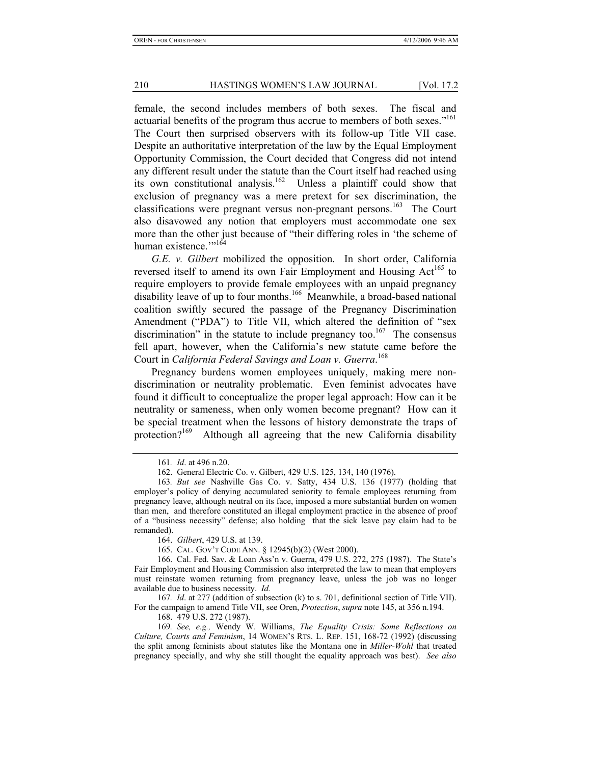female, the second includes members of both sexes. The fiscal and actuarial benefits of the program thus accrue to members of both sexes."<sup>161</sup> The Court then surprised observers with its follow-up Title VII case. Despite an authoritative interpretation of the law by the Equal Employment Opportunity Commission, the Court decided that Congress did not intend any different result under the statute than the Court itself had reached using its own constitutional analysis.<sup>162</sup> Unless a plaintiff could show that exclusion of pregnancy was a mere pretext for sex discrimination, the classifications were pregnant versus non-pregnant persons.<sup>163</sup> The Court also disavowed any notion that employers must accommodate one sex more than the other just because of "their differing roles in 'the scheme of human existence."<sup>164</sup>

*G.E. v. Gilbert* mobilized the opposition. In short order, California reversed itself to amend its own Fair Employment and Housing Act<sup>165</sup> to require employers to provide female employees with an unpaid pregnancy disability leave of up to four months.166 Meanwhile, a broad-based national coalition swiftly secured the passage of the Pregnancy Discrimination Amendment ("PDA") to Title VII, which altered the definition of "sex discrimination" in the statute to include pregnancy too.<sup>167</sup> The consensus fell apart, however, when the California's new statute came before the Court in *California Federal Savings and Loan v. Guerra*. 168

Pregnancy burdens women employees uniquely, making mere nondiscrimination or neutrality problematic. Even feminist advocates have found it difficult to conceptualize the proper legal approach: How can it be neutrality or sameness, when only women become pregnant? How can it be special treatment when the lessons of history demonstrate the traps of protection?<sup>169</sup> Although all agreeing that the new California disability

164. *Gilbert*, 429 U.S. at 139.

165. CAL. GOV'T CODE ANN. § 12945(b)(2) (West 2000).

 166. Cal. Fed. Sav. & Loan Ass'n v. Guerra, 479 U.S. 272, 275 (1987). The State's Fair Employment and Housing Commission also interpreted the law to mean that employers must reinstate women returning from pregnancy leave, unless the job was no longer available due to business necessity. *Id.* 

167*. Id*. at 277 (addition of subsection (k) to s. 701, definitional section of Title VII). For the campaign to amend Title VII, see Oren, *Protection*, *supra* note 145, at 356 n.194.

168. 479 U.S. 272 (1987).

169*. See, e.g.,* Wendy W. Williams, *The Equality Crisis: Some Reflections on Culture, Courts and Feminism*, 14 WOMEN'S RTS. L. REP. 151, 168-72 (1992) (discussing the split among feminists about statutes like the Montana one in *Miller-Wohl* that treated pregnancy specially, and why she still thought the equality approach was best). *See also*

<sup>161</sup>*. Id*. at 496 n.20.

 <sup>162.</sup> General Electric Co. v. Gilbert, 429 U.S. 125, 134, 140 (1976).

<sup>163</sup>*. But see* Nashville Gas Co. v. Satty, 434 U.S. 136 (1977) (holding that employer's policy of denying accumulated seniority to female employees returning from pregnancy leave, although neutral on its face, imposed a more substantial burden on women than men, and therefore constituted an illegal employment practice in the absence of proof of a "business necessity" defense; also holding that the sick leave pay claim had to be remanded).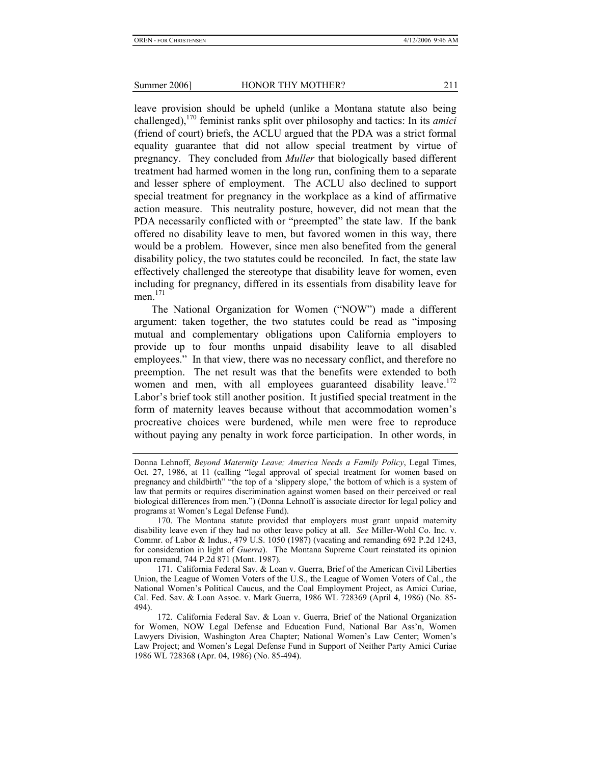leave provision should be upheld (unlike a Montana statute also being challenged),170 feminist ranks split over philosophy and tactics: In its *amici*  (friend of court) briefs, the ACLU argued that the PDA was a strict formal equality guarantee that did not allow special treatment by virtue of pregnancy. They concluded from *Muller* that biologically based different treatment had harmed women in the long run, confining them to a separate and lesser sphere of employment. The ACLU also declined to support special treatment for pregnancy in the workplace as a kind of affirmative action measure. This neutrality posture, however, did not mean that the PDA necessarily conflicted with or "preempted" the state law. If the bank offered no disability leave to men, but favored women in this way, there would be a problem. However, since men also benefited from the general disability policy, the two statutes could be reconciled. In fact, the state law effectively challenged the stereotype that disability leave for women, even including for pregnancy, differed in its essentials from disability leave for men $171$ 

The National Organization for Women ("NOW") made a different argument: taken together, the two statutes could be read as "imposing mutual and complementary obligations upon California employers to provide up to four months unpaid disability leave to all disabled employees." In that view, there was no necessary conflict, and therefore no preemption. The net result was that the benefits were extended to both women and men, with all employees guaranteed disability leave.<sup>172</sup> Labor's brief took still another position. It justified special treatment in the form of maternity leaves because without that accommodation women's procreative choices were burdened, while men were free to reproduce without paying any penalty in work force participation. In other words, in

 170. The Montana statute provided that employers must grant unpaid maternity disability leave even if they had no other leave policy at all. *See* Miller-Wohl Co. Inc. v. Commr. of Labor & Indus., 479 U.S. 1050 (1987) (vacating and remanding 692 P.2d 1243, for consideration in light of *Guerra*). The Montana Supreme Court reinstated its opinion upon remand, 744 P.2d 871 (Mont. 1987).

 171. California Federal Sav. & Loan v. Guerra, Brief of the American Civil Liberties Union, the League of Women Voters of the U.S., the League of Women Voters of Cal., the National Women's Political Caucus, and the Coal Employment Project, as Amici Curiae, Cal. Fed. Sav. & Loan Assoc. v. Mark Guerra, 1986 WL 728369 (April 4, 1986) (No. 85- 494).

Donna Lehnoff, *Beyond Maternity Leave; America Needs a Family Policy*, Legal Times, Oct. 27, 1986, at 11 (calling "legal approval of special treatment for women based on pregnancy and childbirth" "the top of a 'slippery slope,' the bottom of which is a system of law that permits or requires discrimination against women based on their perceived or real biological differences from men.") (Donna Lehnoff is associate director for legal policy and programs at Women's Legal Defense Fund).

 <sup>172.</sup> California Federal Sav. & Loan v. Guerra, Brief of the National Organization for Women, NOW Legal Defense and Education Fund, National Bar Ass'n, Women Lawyers Division, Washington Area Chapter; National Women's Law Center; Women's Law Project; and Women's Legal Defense Fund in Support of Neither Party Amici Curiae 1986 WL 728368 (Apr. 04, 1986) (No. 85-494).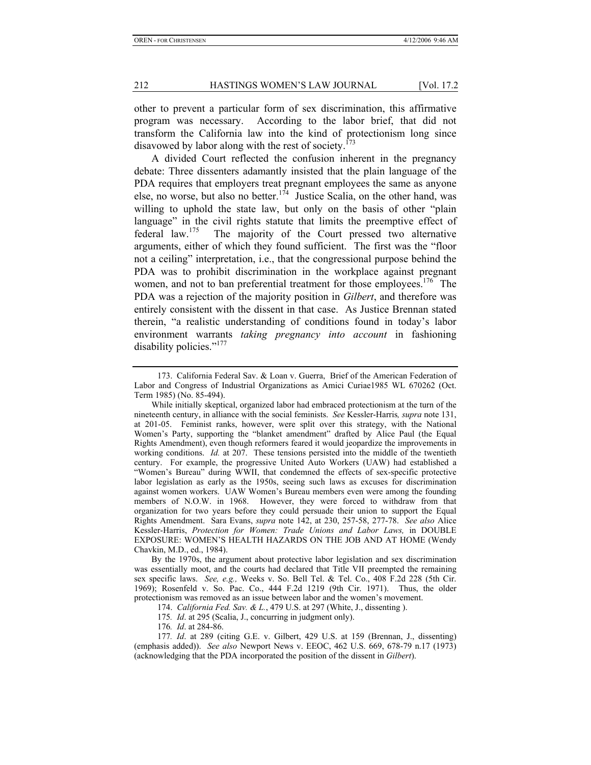other to prevent a particular form of sex discrimination, this affirmative program was necessary. According to the labor brief, that did not transform the California law into the kind of protectionism long since disavowed by labor along with the rest of society.<sup>173</sup>

A divided Court reflected the confusion inherent in the pregnancy debate: Three dissenters adamantly insisted that the plain language of the PDA requires that employers treat pregnant employees the same as anyone else, no worse, but also no better.<sup>174</sup> Justice Scalia, on the other hand, was willing to uphold the state law, but only on the basis of other "plain" language" in the civil rights statute that limits the preemptive effect of federal law.175 The majority of the Court pressed two alternative arguments, either of which they found sufficient. The first was the "floor not a ceiling" interpretation, i.e., that the congressional purpose behind the PDA was to prohibit discrimination in the workplace against pregnant women, and not to ban preferential treatment for those employees.<sup>176</sup> The PDA was a rejection of the majority position in *Gilbert*, and therefore was entirely consistent with the dissent in that case. As Justice Brennan stated therein, "a realistic understanding of conditions found in today's labor environment warrants *taking pregnancy into account* in fashioning disability policies."<sup>177</sup>

 <sup>173.</sup> California Federal Sav. & Loan v. Guerra, Brief of the American Federation of Labor and Congress of Industrial Organizations as Amici Curiae1985 WL 670262 (Oct. Term 1985) (No. 85-494).

While initially skeptical, organized labor had embraced protectionism at the turn of the nineteenth century, in alliance with the social feminists. *See* Kessler-Harris*, supra* note 131, at 201-05. Feminist ranks, however, were split over this strategy, with the National Women's Party, supporting the "blanket amendment" drafted by Alice Paul (the Equal Rights Amendment), even though reformers feared it would jeopardize the improvements in working conditions. *Id.* at 207. These tensions persisted into the middle of the twentieth century. For example, the progressive United Auto Workers (UAW) had established a "Women's Bureau" during WWII, that condemned the effects of sex-specific protective labor legislation as early as the 1950s, seeing such laws as excuses for discrimination against women workers. UAW Women's Bureau members even were among the founding members of N.O.W. in 1968. However, they were forced to withdraw from that organization for two years before they could persuade their union to support the Equal Rights Amendment. Sara Evans, *supra* note 142, at 230, 257-58, 277-78. *See also* Alice Kessler-Harris, *Protection for Women: Trade Unions and Labor Laws,* in DOUBLE EXPOSURE: WOMEN'S HEALTH HAZARDS ON THE JOB AND AT HOME (Wendy Chavkin, M.D., ed., 1984).

By the 1970s, the argument about protective labor legislation and sex discrimination was essentially moot, and the courts had declared that Title VII preempted the remaining sex specific laws. *See, e.g.,* Weeks v. So. Bell Tel. & Tel. Co., 408 F.2d 228 (5th Cir. 1969); Rosenfeld v. So. Pac. Co., 444 F.2d 1219 (9th Cir. 1971). Thus, the older protectionism was removed as an issue between labor and the women's movement.

 <sup>174.</sup> *California Fed. Sav. & L.*, 479 U.S. at 297 (White, J., dissenting ).

<sup>175</sup>*. Id*. at 295 (Scalia, J., concurring in judgment only).

<sup>176</sup>*. Id*. at 284-86.

<sup>177</sup>*. Id*. at 289 (citing G.E. v. Gilbert, 429 U.S. at 159 (Brennan, J., dissenting) (emphasis added)). *See also* Newport News v. EEOC, 462 U.S. 669, 678-79 n.17 (1973) (acknowledging that the PDA incorporated the position of the dissent in *Gilbert*).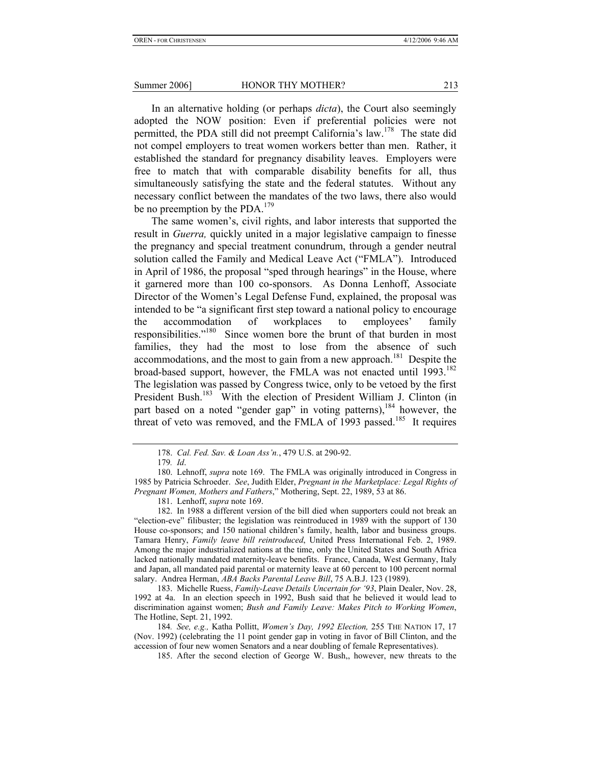In an alternative holding (or perhaps *dicta*), the Court also seemingly adopted the NOW position: Even if preferential policies were not permitted, the PDA still did not preempt California's law.178 The state did not compel employers to treat women workers better than men. Rather, it established the standard for pregnancy disability leaves. Employers were free to match that with comparable disability benefits for all, thus simultaneously satisfying the state and the federal statutes. Without any necessary conflict between the mandates of the two laws, there also would be no preemption by the PDA.<sup>179</sup>

The same women's, civil rights, and labor interests that supported the result in *Guerra,* quickly united in a major legislative campaign to finesse the pregnancy and special treatment conundrum, through a gender neutral solution called the Family and Medical Leave Act ("FMLA"). Introduced in April of 1986, the proposal "sped through hearings" in the House, where it garnered more than 100 co-sponsors. As Donna Lenhoff, Associate Director of the Women's Legal Defense Fund, explained, the proposal was intended to be "a significant first step toward a national policy to encourage the accommodation of workplaces to employees' family responsibilities."<sup>180</sup> Since women bore the brunt of that burden in most families, they had the most to lose from the absence of such accommodations, and the most to gain from a new approach.<sup>181</sup> Despite the broad-based support, however, the FMLA was not enacted until 1993.<sup>182</sup> The legislation was passed by Congress twice, only to be vetoed by the first President Bush.<sup>183</sup> With the election of President William J. Clinton (in part based on a noted "gender gap" in voting patterns), <sup>184</sup> however, the threat of veto was removed, and the FMLA of 1993 passed.<sup>185</sup> It requires

181. Lenhoff, *supra* note 169.

 182. In 1988 a different version of the bill died when supporters could not break an "election-eve" filibuster; the legislation was reintroduced in 1989 with the support of 130 House co-sponsors; and 150 national children's family, health, labor and business groups. Tamara Henry, *Family leave bill reintroduced*, United Press International Feb. 2, 1989. Among the major industrialized nations at the time, only the United States and South Africa lacked nationally mandated maternity-leave benefits. France, Canada, West Germany, Italy and Japan, all mandated paid parental or maternity leave at 60 percent to 100 percent normal salary. Andrea Herman, *ABA Backs Parental Leave Bill*, 75 A.B.J. 123 (1989).

 183. Michelle Ruess, *Family-Leave Details Uncertain for '93*, Plain Dealer, Nov. 28, 1992 at 4a. In an election speech in 1992, Bush said that he believed it would lead to discrimination against women; *Bush and Family Leave: Makes Pitch to Working Women*, The Hotline, Sept. 21, 1992.

184*. See, e.g.,* Katha Pollitt, *Women's Day, 1992 Election,* 255 THE NATION 17, 17 (Nov. 1992) (celebrating the 11 point gender gap in voting in favor of Bill Clinton, and the accession of four new women Senators and a near doubling of female Representatives).

185. After the second election of George W. Bush,, however, new threats to the

 <sup>178.</sup> *Cal. Fed. Sav. & Loan Ass'n.*, 479 U.S. at 290-92.

<sup>179</sup>*. Id*.

 <sup>180.</sup> Lehnoff, *supra* note 169. The FMLA was originally introduced in Congress in 1985 by Patricia Schroeder. *See*, Judith Elder, *Pregnant in the Marketplace: Legal Rights of Pregnant Women, Mothers and Fathers*," Mothering, Sept. 22, 1989, 53 at 86.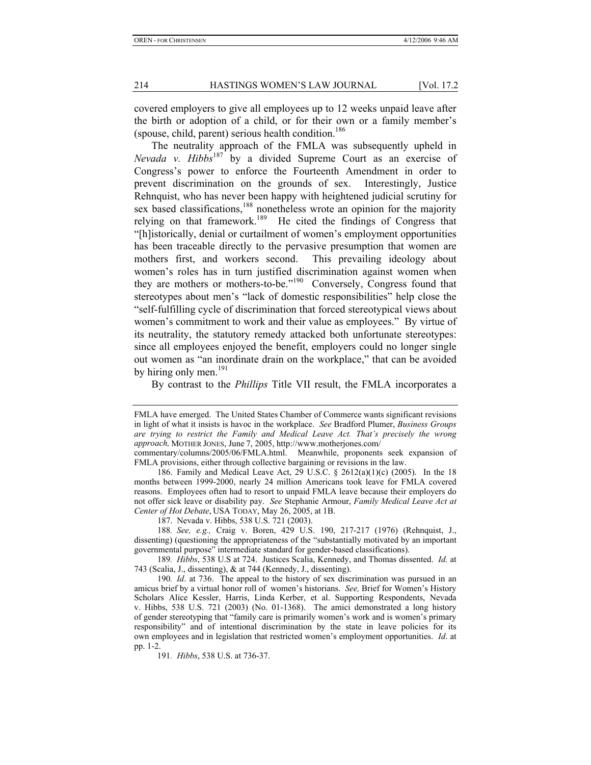covered employers to give all employees up to 12 weeks unpaid leave after the birth or adoption of a child, or for their own or a family member's (spouse, child, parent) serious health condition. $186$ 

The neutrality approach of the FMLA was subsequently upheld in *Nevada v. Hibbs*<sup>187</sup> by a divided Supreme Court as an exercise of Congress's power to enforce the Fourteenth Amendment in order to prevent discrimination on the grounds of sex. Interestingly, Justice Rehnquist, who has never been happy with heightened judicial scrutiny for sex based classifications,<sup>188</sup> nonetheless wrote an opinion for the majority relying on that framework.189 He cited the findings of Congress that "[h]istorically, denial or curtailment of women's employment opportunities has been traceable directly to the pervasive presumption that women are mothers first, and workers second. This prevailing ideology about women's roles has in turn justified discrimination against women when they are mothers or mothers-to-be."<sup>190</sup> Conversely, Congress found that stereotypes about men's "lack of domestic responsibilities" help close the "self-fulfilling cycle of discrimination that forced stereotypical views about women's commitment to work and their value as employees." By virtue of its neutrality, the statutory remedy attacked both unfortunate stereotypes: since all employees enjoyed the benefit, employers could no longer single out women as "an inordinate drain on the workplace," that can be avoided by hiring only men. $^{191}$ 

By contrast to the *Phillips* Title VII result, the FMLA incorporates a

commentary/columns/2005/06/FMLA.html. Meanwhile, proponents seek expansion of FMLA provisions, either through collective bargaining or revisions in the law.

191*. Hibbs*, 538 U.S. at 736-37.

FMLA have emerged. The United States Chamber of Commerce wants significant revisions in light of what it insists is havoc in the workplace. *See* Bradford Plumer, *Business Groups are trying to restrict the Family and Medical Leave Act. That's precisely the wrong approach,* MOTHER JONES, June 7, 2005, http://www.motherjones.com/

 <sup>186.</sup> Family and Medical Leave Act, 29 U.S.C. § 2612(a)(1)(c) (2005). In the 18 months between 1999-2000, nearly 24 million Americans took leave for FMLA covered reasons. Employees often had to resort to unpaid FMLA leave because their employers do not offer sick leave or disability pay. *See* Stephanie Armour, *Family Medical Leave Act at Center of Hot Debate*, USA TODAY, May 26, 2005, at 1B.

 <sup>187.</sup> Nevada v. Hibbs, 538 U.S. 721 (2003).

<sup>188</sup>*. See, e.g.,* Craig v. Boren, 429 U.S. 190, 217-217 (1976) (Rehnquist, J., dissenting) (questioning the appropriateness of the "substantially motivated by an important governmental purpose" intermediate standard for gender-based classifications).

<sup>189</sup>*. Hibbs*, 538 U.S at 724. Justices Scalia, Kennedy, and Thomas dissented. *Id.* at 743 (Scalia, J., dissenting), & at 744 (Kennedy, J., dissenting).

<sup>190</sup>*. Id*. at 736. The appeal to the history of sex discrimination was pursued in an amicus brief by a virtual honor roll of women's historians. *See,* Brief for Women's History Scholars Alice Kessler, Harris, Linda Kerber, et al. Supporting Respondents, Nevada v. Hibbs, 538 U.S. 721 (2003) (No. 01-1368). The amici demonstrated a long history of gender stereotyping that "family care is primarily women's work and is women's primary responsibility" and of intentional discrimination by the state in leave policies for its own employees and in legislation that restricted women's employment opportunities. *Id*. at pp. 1-2.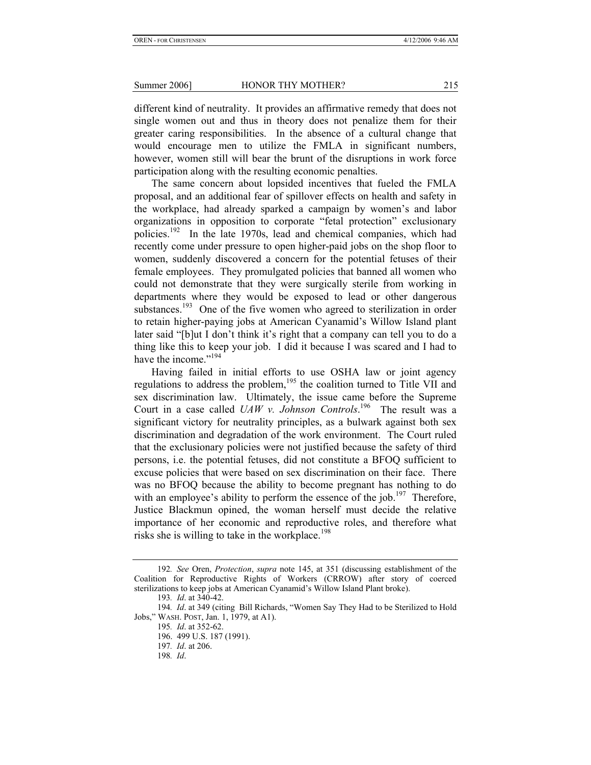different kind of neutrality. It provides an affirmative remedy that does not single women out and thus in theory does not penalize them for their greater caring responsibilities. In the absence of a cultural change that would encourage men to utilize the FMLA in significant numbers, however, women still will bear the brunt of the disruptions in work force participation along with the resulting economic penalties.

The same concern about lopsided incentives that fueled the FMLA proposal, and an additional fear of spillover effects on health and safety in the workplace, had already sparked a campaign by women's and labor organizations in opposition to corporate "fetal protection" exclusionary policies.192 In the late 1970s, lead and chemical companies, which had recently come under pressure to open higher-paid jobs on the shop floor to women, suddenly discovered a concern for the potential fetuses of their female employees. They promulgated policies that banned all women who could not demonstrate that they were surgically sterile from working in departments where they would be exposed to lead or other dangerous substances.<sup>193</sup> One of the five women who agreed to sterilization in order to retain higher-paying jobs at American Cyanamid's Willow Island plant later said "[b]ut I don't think it's right that a company can tell you to do a thing like this to keep your job. I did it because I was scared and I had to have the income."<sup>194</sup>

 Having failed in initial efforts to use OSHA law or joint agency regulations to address the problem,<sup>195</sup> the coalition turned to Title VII and sex discrimination law. Ultimately, the issue came before the Supreme Court in a case called *UAW v. Johnson Controls*. 196 The result was a significant victory for neutrality principles, as a bulwark against both sex discrimination and degradation of the work environment. The Court ruled that the exclusionary policies were not justified because the safety of third persons, i.e. the potential fetuses, did not constitute a BFOQ sufficient to excuse policies that were based on sex discrimination on their face. There was no BFOQ because the ability to become pregnant has nothing to do with an employee's ability to perform the essence of the job.<sup>197</sup> Therefore, Justice Blackmun opined, the woman herself must decide the relative importance of her economic and reproductive roles, and therefore what risks she is willing to take in the workplace.<sup>198</sup>

<sup>192</sup>*. See* Oren, *Protection*, *supra* note 145, at 351 (discussing establishment of the Coalition for Reproductive Rights of Workers (CRROW) after story of coerced sterilizations to keep jobs at American Cyanamid's Willow Island Plant broke).

<sup>193</sup>*. Id*. at 340-42.

<sup>194</sup>*. Id*. at 349 (citing Bill Richards, "Women Say They Had to be Sterilized to Hold Jobs," WASH. POST, Jan. 1, 1979, at A1).

<sup>195</sup>*. Id*. at 352-62.

 <sup>196. 499</sup> U.S. 187 (1991).

<sup>197</sup>*. Id*. at 206.

<sup>198</sup>*. Id*.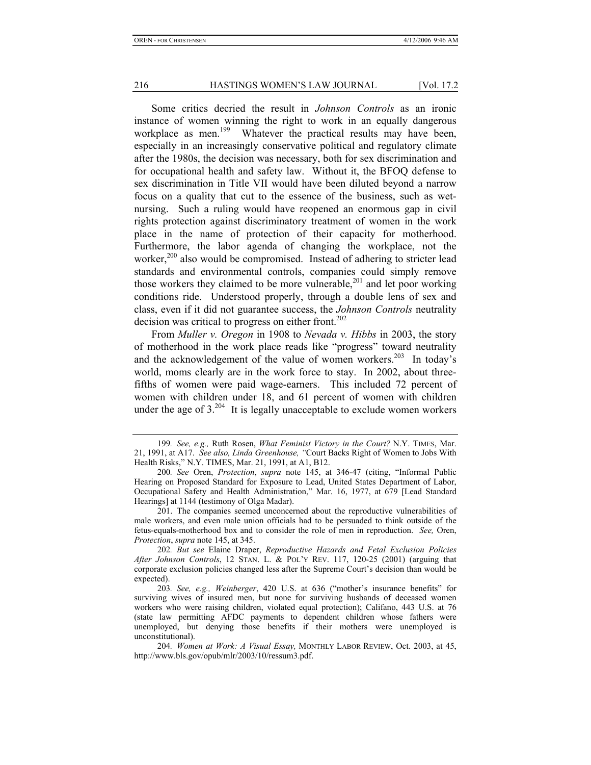Some critics decried the result in *Johnson Controls* as an ironic instance of women winning the right to work in an equally dangerous workplace as men.<sup>199</sup> Whatever the practical results may have been, especially in an increasingly conservative political and regulatory climate after the 1980s, the decision was necessary, both for sex discrimination and for occupational health and safety law. Without it, the BFOQ defense to sex discrimination in Title VII would have been diluted beyond a narrow focus on a quality that cut to the essence of the business, such as wetnursing. Such a ruling would have reopened an enormous gap in civil rights protection against discriminatory treatment of women in the work place in the name of protection of their capacity for motherhood. Furthermore, the labor agenda of changing the workplace, not the worker,<sup>200</sup> also would be compromised. Instead of adhering to stricter lead standards and environmental controls, companies could simply remove those workers they claimed to be more vulnerable,<sup>201</sup> and let poor working conditions ride. Understood properly, through a double lens of sex and class, even if it did not guarantee success, the *Johnson Controls* neutrality decision was critical to progress on either front.<sup>202</sup>

From *Muller v. Oregon* in 1908 to *Nevada v. Hibbs* in 2003, the story of motherhood in the work place reads like "progress" toward neutrality and the acknowledgement of the value of women workers.<sup>203</sup> In today's world, moms clearly are in the work force to stay. In 2002, about threefifths of women were paid wage-earners. This included 72 percent of women with children under 18, and 61 percent of women with children under the age of  $3.^{204}$  It is legally unacceptable to exclude women workers

<sup>199</sup>*. See, e.g.,* Ruth Rosen, *What Feminist Victory in the Court?* N.Y. TIMES, Mar. 21, 1991, at A17. *See also, Linda Greenhouse, "*Court Backs Right of Women to Jobs With Health Risks," N.Y. TIMES, Mar. 21, 1991, at A1, B12.

<sup>200</sup>*. See* Oren, *Protection*, *supra* note 145, at 346-47 (citing, "Informal Public Hearing on Proposed Standard for Exposure to Lead, United States Department of Labor, Occupational Safety and Health Administration," Mar. 16, 1977, at 679 [Lead Standard Hearings] at 1144 (testimony of Olga Madar).

 <sup>201.</sup> The companies seemed unconcerned about the reproductive vulnerabilities of male workers, and even male union officials had to be persuaded to think outside of the fetus-equals-motherhood box and to consider the role of men in reproduction. *See,* Oren, *Protection*, *supra* note 145, at 345.

<sup>202</sup>*. But see* Elaine Draper, *Reproductive Hazards and Fetal Exclusion Policies After Johnson Controls*, 12 STAN. L. & POL'Y REV. 117, 120-25 (2001) (arguing that corporate exclusion policies changed less after the Supreme Court's decision than would be expected).

<sup>203</sup>*. See, e.g., Weinberger*, 420 U.S. at 636 ("mother's insurance benefits" for surviving wives of insured men, but none for surviving husbands of deceased women workers who were raising children, violated equal protection); Califano, 443 U.S. at 76 (state law permitting AFDC payments to dependent children whose fathers were unemployed, but denying those benefits if their mothers were unemployed is unconstitutional).

<sup>204</sup>*. Women at Work: A Visual Essay,* MONTHLY LABOR REVIEW, Oct. 2003, at 45, http://www.bls.gov/opub/mlr/2003/10/ressum3.pdf.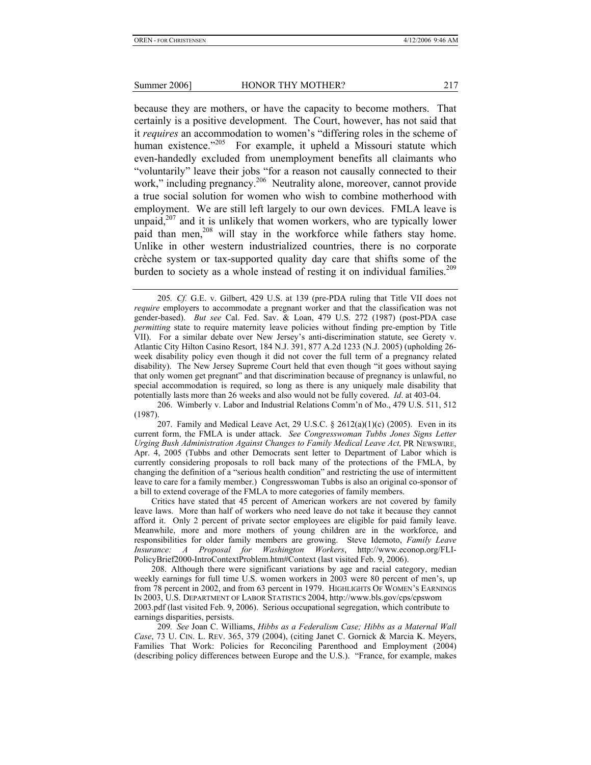because they are mothers, or have the capacity to become mothers. That certainly is a positive development. The Court, however, has not said that it *requires* an accommodation to women's "differing roles in the scheme of human existence.<sup>2205</sup> For example, it upheld a Missouri statute which even-handedly excluded from unemployment benefits all claimants who "voluntarily" leave their jobs "for a reason not causally connected to their work," including pregnancy.<sup>206</sup> Neutrality alone, moreover, cannot provide a true social solution for women who wish to combine motherhood with employment. We are still left largely to our own devices. FMLA leave is unpaid,<sup>207</sup> and it is unlikely that women workers, who are typically lower paid than men,<sup>208</sup> will stay in the workforce while fathers stay home. Unlike in other western industrialized countries, there is no corporate crèche system or tax-supported quality day care that shifts some of the burden to society as a whole instead of resting it on individual families.<sup>209</sup>

 206. Wimberly v. Labor and Industrial Relations Comm'n of Mo., 479 U.S. 511, 512 (1987).

Critics have stated that 45 percent of American workers are not covered by family leave laws. More than half of workers who need leave do not take it because they cannot afford it. Only 2 percent of private sector employees are eligible for paid family leave. Meanwhile, more and more mothers of young children are in the workforce, and responsibilities for older family members are growing. Steve Idemoto, *Family Leave Insurance: A Proposal for Washington Workers*, http://www.econop.org/FLI-PolicyBrief2000-IntroContextProblem.htm#Context (last visited Feb. 9, 2006).

208. Although there were significant variations by age and racial category, median weekly earnings for full time U.S. women workers in 2003 were 80 percent of men's, up from 78 percent in 2002, and from 63 percent in 1979. HIGHLIGHTS OF WOMEN'S EARNINGS IN 2003, U.S. DEPARTMENT OF LABOR STATISTICS 2004, http://www.bls.gov/cps/cpswom 2003.pdf (last visited Feb. 9, 2006). Serious occupational segregation, which contribute to earnings disparities, persists.

209*. See* Joan C. Williams, *Hibbs as a Federalism Case; Hibbs as a Maternal Wall Case*, 73 U. CIN. L. REV. 365, 379 (2004), (citing Janet C. Gornick & Marcia K. Meyers, Families That Work: Policies for Reconciling Parenthood and Employment (2004) (describing policy differences between Europe and the U.S.). "France, for example, makes

<sup>205</sup>*. Cf.* G.E. v. Gilbert, 429 U.S. at 139 (pre-PDA ruling that Title VII does not *require* employers to accommodate a pregnant worker and that the classification was not gender-based). *But see* Cal. Fed. Sav. & Loan, 479 U.S. 272 (1987) (post-PDA case *permitting* state to require maternity leave policies without finding pre-emption by Title VII). For a similar debate over New Jersey's anti-discrimination statute, see Gerety v. Atlantic City Hilton Casino Resort, 184 N.J. 391, 877 A.2d 1233 (N.J. 2005) (upholding 26 week disability policy even though it did not cover the full term of a pregnancy related disability). The New Jersey Supreme Court held that even though "it goes without saying that only women get pregnant" and that discrimination because of pregnancy is unlawful, no special accommodation is required, so long as there is any uniquely male disability that potentially lasts more than 26 weeks and also would not be fully covered. *Id*. at 403-04.

<sup>207.</sup> Family and Medical Leave Act, 29 U.S.C.  $\S$  2612(a)(1)(c) (2005). Even in its current form, the FMLA is under attack. *See Congresswoman Tubbs Jones Signs Letter Urging Bush Administration Against Changes to Family Medical Leave Act,* PR NEWSWIRE, Apr. 4, 2005 (Tubbs and other Democrats sent letter to Department of Labor which is currently considering proposals to roll back many of the protections of the FMLA, by changing the definition of a "serious health condition" and restricting the use of intermittent leave to care for a family member.) Congresswoman Tubbs is also an original co-sponsor of a bill to extend coverage of the FMLA to more categories of family members.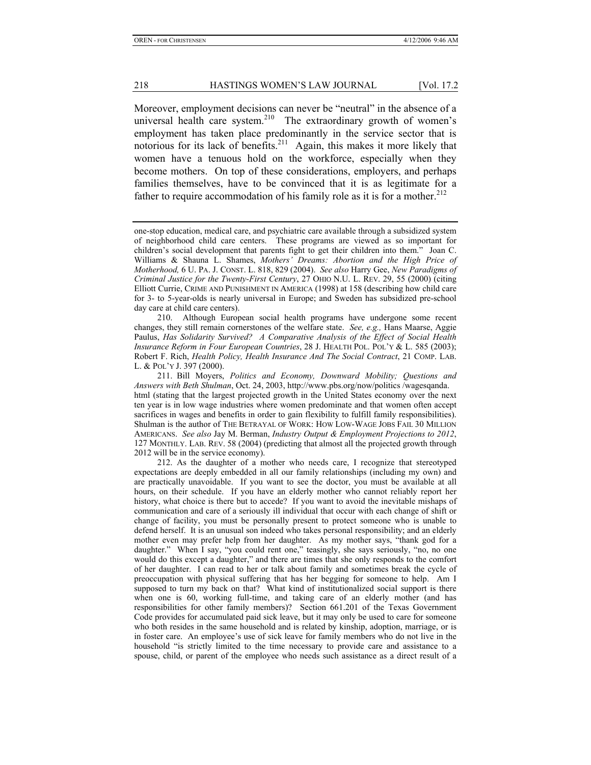Moreover, employment decisions can never be "neutral" in the absence of a universal health care system.<sup>210</sup> The extraordinary growth of women's employment has taken place predominantly in the service sector that is notorious for its lack of benefits.<sup>211</sup> Again, this makes it more likely that women have a tenuous hold on the workforce, especially when they become mothers. On top of these considerations, employers, and perhaps families themselves, have to be convinced that it is as legitimate for a father to require accommodation of his family role as it is for a mother.<sup>212</sup>

 210. Although European social health programs have undergone some recent changes, they still remain cornerstones of the welfare state. *See, e.g.,* Hans Maarse, Aggie Paulus, *Has Solidarity Survived? A Comparative Analysis of the Effect of Social Health Insurance Reform in Four European Countries*, 28 J. HEALTH POL. POL'Y & L. 585 (2003); Robert F. Rich, *Health Policy, Health Insurance And The Social Contract*, 21 COMP. LAB. L. & POL'Y J. 397 (2000).

 211. Bill Moyers, *Politics and Economy, Downward Mobility; Questions and Answers with Beth Shulman*, Oct. 24, 2003, http://www.pbs.org/now/politics /wagesqanda. html (stating that the largest projected growth in the United States economy over the next ten year is in low wage industries where women predominate and that women often accept sacrifices in wages and benefits in order to gain flexibility to fulfill family responsibilities). Shulman is the author of THE BETRAYAL OF WORK: HOW LOW-WAGE JOBS FAIL 30 MILLION AMERICANS. *See also* Jay M. Berman, *Industry Output & Employment Projections to 2012*, 127 MONTHLY. LAB. REV. 58 (2004) (predicting that almost all the projected growth through 2012 will be in the service economy).

 212. As the daughter of a mother who needs care, I recognize that stereotyped expectations are deeply embedded in all our family relationships (including my own) and are practically unavoidable. If you want to see the doctor, you must be available at all hours, on their schedule. If you have an elderly mother who cannot reliably report her history, what choice is there but to accede? If you want to avoid the inevitable mishaps of communication and care of a seriously ill individual that occur with each change of shift or change of facility, you must be personally present to protect someone who is unable to defend herself. It is an unusual son indeed who takes personal responsibility; and an elderly mother even may prefer help from her daughter. As my mother says, "thank god for a daughter." When I say, "you could rent one," teasingly, she says seriously, "no, no one would do this except a daughter," and there are times that she only responds to the comfort of her daughter. I can read to her or talk about family and sometimes break the cycle of preoccupation with physical suffering that has her begging for someone to help. Am I supposed to turn my back on that? What kind of institutionalized social support is there when one is 60, working full-time, and taking care of an elderly mother (and has responsibilities for other family members)? Section 661.201 of the Texas Government Code provides for accumulated paid sick leave, but it may only be used to care for someone who both resides in the same household and is related by kinship, adoption, marriage, or is in foster care. An employee's use of sick leave for family members who do not live in the household "is strictly limited to the time necessary to provide care and assistance to a spouse, child, or parent of the employee who needs such assistance as a direct result of a

one-stop education, medical care, and psychiatric care available through a subsidized system of neighborhood child care centers. These programs are viewed as so important for children's social development that parents fight to get their children into them." Joan C. Williams & Shauna L. Shames, *Mothers' Dreams: Abortion and the High Price of Motherhood,* 6 U. PA. J. CONST. L. 818, 829 (2004). *See also* Harry Gee, *New Paradigms of Criminal Justice for the Twenty-First Century*, 27 OHIO N.U. L. REV. 29, 55 (2000) (citing Elliott Currie, CRIME AND PUNISHMENT IN AMERICA (1998) at 158 (describing how child care for 3- to 5-year-olds is nearly universal in Europe; and Sweden has subsidized pre-school day care at child care centers).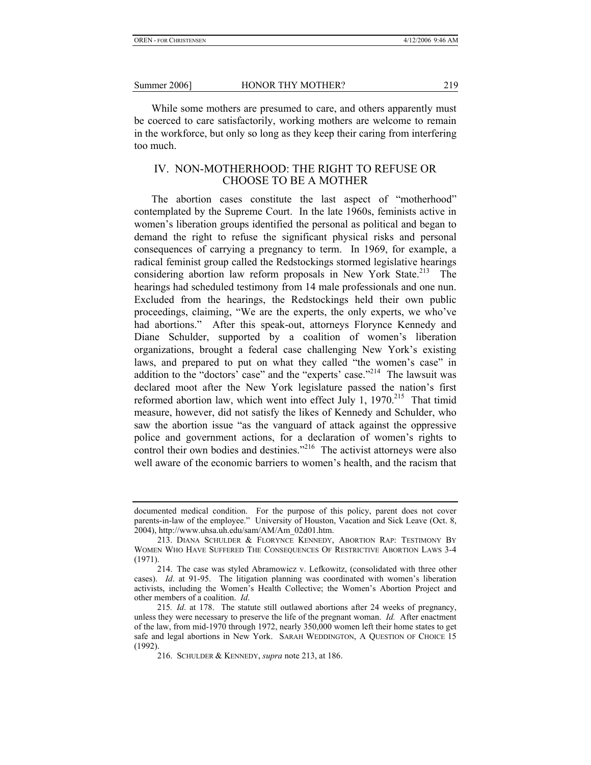While some mothers are presumed to care, and others apparently must be coerced to care satisfactorily, working mothers are welcome to remain in the workforce, but only so long as they keep their caring from interfering too much.

#### IV. NON-MOTHERHOOD: THE RIGHT TO REFUSE OR CHOOSE TO BE A MOTHER

The abortion cases constitute the last aspect of "motherhood" contemplated by the Supreme Court. In the late 1960s, feminists active in women's liberation groups identified the personal as political and began to demand the right to refuse the significant physical risks and personal consequences of carrying a pregnancy to term. In 1969, for example, a radical feminist group called the Redstockings stormed legislative hearings considering abortion law reform proposals in New York State.<sup>213</sup> The hearings had scheduled testimony from 14 male professionals and one nun. Excluded from the hearings, the Redstockings held their own public proceedings, claiming, "We are the experts, the only experts, we who've had abortions." After this speak-out, attorneys Florynce Kennedy and Diane Schulder, supported by a coalition of women's liberation organizations, brought a federal case challenging New York's existing laws, and prepared to put on what they called "the women's case" in addition to the "doctors' case" and the "experts' case."<sup>214</sup> The lawsuit was declared moot after the New York legislature passed the nation's first reformed abortion law, which went into effect July 1,  $1970^{215}$  That timid measure, however, did not satisfy the likes of Kennedy and Schulder, who saw the abortion issue "as the vanguard of attack against the oppressive police and government actions, for a declaration of women's rights to control their own bodies and destinies."<sup>216</sup> The activist attorneys were also well aware of the economic barriers to women's health, and the racism that

documented medical condition. For the purpose of this policy, parent does not cover parents-in-law of the employee." University of Houston, Vacation and Sick Leave (Oct. 8, 2004), http://www.uhsa.uh.edu/sam/AM/Am\_02d01.htm.

 <sup>213.</sup> DIANA SCHULDER & FLORYNCE KENNEDY, ABORTION RAP: TESTIMONY BY WOMEN WHO HAVE SUFFERED THE CONSEQUENCES OF RESTRICTIVE ABORTION LAWS 3-4 (1971).

 <sup>214.</sup> The case was styled Abramowicz v. Lefkowitz, (consolidated with three other cases). *Id*. at 91-95. The litigation planning was coordinated with women's liberation activists, including the Women's Health Collective; the Women's Abortion Project and other members of a coalition. *Id*.

<sup>215</sup>*. Id*. at 178. The statute still outlawed abortions after 24 weeks of pregnancy, unless they were necessary to preserve the life of the pregnant woman. *Id.* After enactment of the law, from mid-1970 through 1972, nearly 350,000 women left their home states to get safe and legal abortions in New York. SARAH WEDDINGTON, A QUESTION OF CHOICE 15 (1992).

 <sup>216.</sup> SCHULDER & KENNEDY, *supra* note 213, at 186.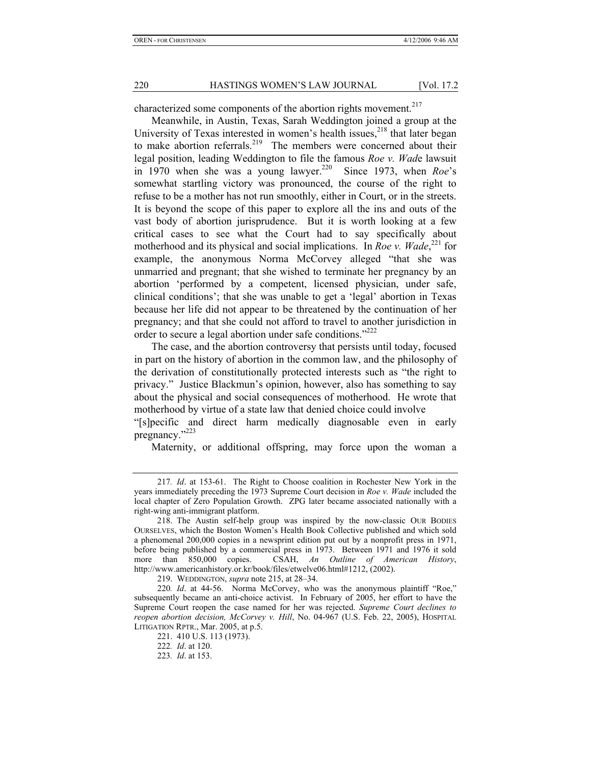characterized some components of the abortion rights movement.<sup>217</sup>

Meanwhile, in Austin, Texas, Sarah Weddington joined a group at the University of Texas interested in women's health issues, $218$  that later began to make abortion referrals.<sup>219</sup> The members were concerned about their legal position, leading Weddington to file the famous *Roe v. Wad*e lawsuit in 1970 when she was a young lawyer.220 Since 1973, when *Roe*'s somewhat startling victory was pronounced, the course of the right to refuse to be a mother has not run smoothly, either in Court, or in the streets. It is beyond the scope of this paper to explore all the ins and outs of the vast body of abortion jurisprudence. But it is worth looking at a few critical cases to see what the Court had to say specifically about motherhood and its physical and social implications. In *Roe v. Wade*,<sup>221</sup> for example, the anonymous Norma McCorvey alleged "that she was unmarried and pregnant; that she wished to terminate her pregnancy by an abortion 'performed by a competent, licensed physician, under safe, clinical conditions'; that she was unable to get a 'legal' abortion in Texas because her life did not appear to be threatened by the continuation of her pregnancy; and that she could not afford to travel to another jurisdiction in order to secure a legal abortion under safe conditions."<sup>222</sup>

The case, and the abortion controversy that persists until today, focused in part on the history of abortion in the common law, and the philosophy of the derivation of constitutionally protected interests such as "the right to privacy." Justice Blackmun's opinion, however, also has something to say about the physical and social consequences of motherhood. He wrote that motherhood by virtue of a state law that denied choice could involve

"[s]pecific and direct harm medically diagnosable even in early pregnancy."<sup>223</sup>

Maternity, or additional offspring, may force upon the woman a

219. WEDDINGTON, *supra* note 215, at 28–34.

<sup>217</sup>*. Id*. at 153-61. The Right to Choose coalition in Rochester New York in the years immediately preceding the 1973 Supreme Court decision in *Roe v. Wade* included the local chapter of Zero Population Growth. ZPG later became associated nationally with a right-wing anti-immigrant platform.

 <sup>218.</sup> The Austin self-help group was inspired by the now-classic OUR BODIES OURSELVES, which the Boston Women's Health Book Collective published and which sold a phenomenal 200,000 copies in a newsprint edition put out by a nonprofit press in 1971, before being published by a commercial press in 1973. Between 1971 and 1976 it sold more than 850,000 copies. CSAH, *An Outline of American History*, http://www.americanhistory.or.kr/book/files/etwelve06.html#1212, (2002).

<sup>220</sup>*. Id*. at 44-56. Norma McCorvey, who was the anonymous plaintiff "Roe," subsequently became an anti-choice activist. In February of 2005, her effort to have the Supreme Court reopen the case named for her was rejected. *Supreme Court declines to reopen abortion decision, McCorvey v. Hill*, No. 04-967 (U.S. Feb. 22, 2005), HOSPITAL LITIGATION RPTR., Mar. 2005, at p.5.

 <sup>221. 410</sup> U.S. 113 (1973).

<sup>222</sup>*. Id*. at 120.

<sup>223</sup>*. Id*. at 153.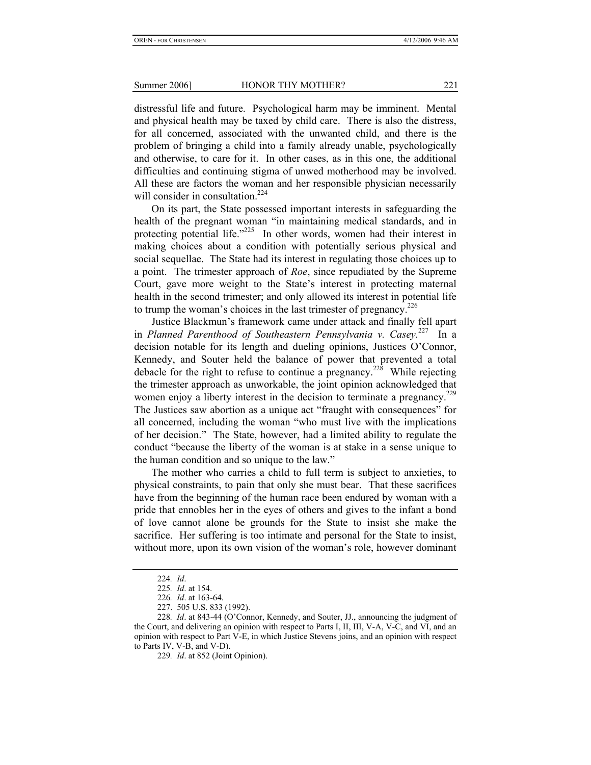distressful life and future. Psychological harm may be imminent. Mental and physical health may be taxed by child care. There is also the distress, for all concerned, associated with the unwanted child, and there is the problem of bringing a child into a family already unable, psychologically and otherwise, to care for it. In other cases, as in this one, the additional difficulties and continuing stigma of unwed motherhood may be involved. All these are factors the woman and her responsible physician necessarily will consider in consultation.<sup>224</sup>

On its part, the State possessed important interests in safeguarding the health of the pregnant woman "in maintaining medical standards, and in protecting potential life."<sup>225</sup> In other words, women had their interest in making choices about a condition with potentially serious physical and social sequellae. The State had its interest in regulating those choices up to a point. The trimester approach of *Roe*, since repudiated by the Supreme Court, gave more weight to the State's interest in protecting maternal health in the second trimester; and only allowed its interest in potential life to trump the woman's choices in the last trimester of pregnancy.<sup>226</sup>

Justice Blackmun's framework came under attack and finally fell apart in *Planned Parenthood of Southeastern Pennsylvania v. Casey.*227 In a decision notable for its length and dueling opinions, Justices O'Connor, Kennedy, and Souter held the balance of power that prevented a total debacle for the right to refuse to continue a pregnancy.<sup>228</sup> While rejecting the trimester approach as unworkable, the joint opinion acknowledged that women enjoy a liberty interest in the decision to terminate a pregnancy.<sup>229</sup> The Justices saw abortion as a unique act "fraught with consequences" for all concerned, including the woman "who must live with the implications of her decision." The State, however, had a limited ability to regulate the conduct "because the liberty of the woman is at stake in a sense unique to the human condition and so unique to the law."

The mother who carries a child to full term is subject to anxieties, to physical constraints, to pain that only she must bear. That these sacrifices have from the beginning of the human race been endured by woman with a pride that ennobles her in the eyes of others and gives to the infant a bond of love cannot alone be grounds for the State to insist she make the sacrifice. Her suffering is too intimate and personal for the State to insist, without more, upon its own vision of the woman's role, however dominant

<sup>224</sup>*. Id*.

<sup>225</sup>*. Id*. at 154.

<sup>226</sup>*. Id*. at 163-64.

 <sup>227. 505</sup> U.S. 833 (1992).

<sup>228</sup>*. Id*. at 843-44 (O'Connor, Kennedy, and Souter, JJ., announcing the judgment of the Court, and delivering an opinion with respect to Parts I, II, III, V-A, V-C, and VI, and an opinion with respect to Part V-E, in which Justice Stevens joins, and an opinion with respect to Parts IV, V-B, and V-D).

<sup>229</sup>*. Id*. at 852 (Joint Opinion).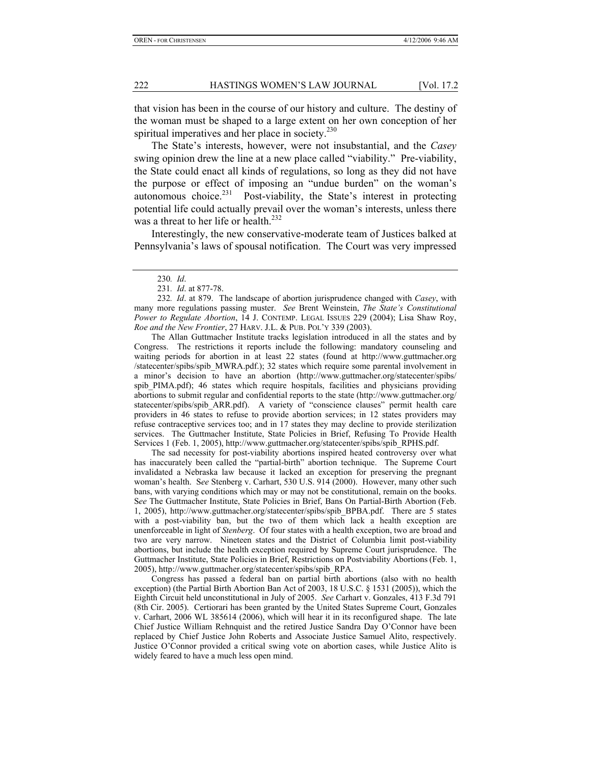that vision has been in the course of our history and culture. The destiny of the woman must be shaped to a large extent on her own conception of her spiritual imperatives and her place in society.<sup>230</sup>

The State's interests, however, were not insubstantial, and the *Casey* swing opinion drew the line at a new place called "viability." Pre-viability, the State could enact all kinds of regulations, so long as they did not have the purpose or effect of imposing an "undue burden" on the woman's autonomous choice. $^{231}$  Post-viability, the State's interest in protecting potential life could actually prevail over the woman's interests, unless there was a threat to her life or health.<sup>232</sup>

Interestingly, the new conservative-moderate team of Justices balked at Pennsylvania's laws of spousal notification. The Court was very impressed

The Allan Guttmacher Institute tracks legislation introduced in all the states and by Congress. The restrictions it reports include the following: mandatory counseling and waiting periods for abortion in at least 22 states (found at http://www.guttmacher.org /statecenter/spibs/spib\_MWRA.pdf.); 32 states which require some parental involvement in a minor's decision to have an abortion (http://www.guttmacher.org/statecenter/spibs/ spib PIMA.pdf); 46 states which require hospitals, facilities and physicians providing abortions to submit regular and confidential reports to the state (http://www.guttmacher.org/ statecenter/spibs/spib\_ARR.pdf). A variety of "conscience clauses" permit health care providers in 46 states to refuse to provide abortion services; in 12 states providers may refuse contraceptive services too; and in 17 states they may decline to provide sterilization services. The Guttmacher Institute, State Policies in Brief, Refusing To Provide Health Services 1 (Feb. 1, 2005), http://www.guttmacher.org/statecenter/spibs/spib\_RPHS.pdf.

The sad necessity for post-viability abortions inspired heated controversy over what has inaccurately been called the "partial-birth" abortion technique. The Supreme Court invalidated a Nebraska law because it lacked an exception for preserving the pregnant woman's health. S*ee* Stenberg v. Carhart, 530 U.S. 914 (2000). However, many other such bans, with varying conditions which may or may not be constitutional, remain on the books. S*ee* The Guttmacher Institute, State Policies in Brief, Bans On Partial-Birth Abortion (Feb. 1, 2005), http://www.guttmacher.org/statecenter/spibs/spib\_BPBA.pdf. There are 5 states with a post-viability ban, but the two of them which lack a health exception are unenforceable in light of *Stenberg*. Of four states with a health exception, two are broad and two are very narrow. Nineteen states and the District of Columbia limit post-viability abortions, but include the health exception required by Supreme Court jurisprudence. The Guttmacher Institute, State Policies in Brief, Restrictions on Postviability Abortions (Feb. 1, 2005), http://www.guttmacher.org/statecenter/spibs/spib\_RPA.

Congress has passed a federal ban on partial birth abortions (also with no health exception) (the Partial Birth Abortion Ban Act of 2003, 18 U.S.C. § 1531 (2005)), which the Eighth Circuit held unconstitutional in July of 2005. *See* Carhart v. Gonzales, 413 F.3d 791 (8th Cir. 2005). Certiorari has been granted by the United States Supreme Court, Gonzales v. Carhart, 2006 WL 385614 (2006), which will hear it in its reconfigured shape. The late Chief Justice William Rehnquist and the retired Justice Sandra Day O'Connor have been replaced by Chief Justice John Roberts and Associate Justice Samuel Alito, respectively. Justice O'Connor provided a critical swing vote on abortion cases, while Justice Alito is widely feared to have a much less open mind.

<sup>230</sup>*. Id*.

<sup>231</sup>*. Id*. at 877-78.

<sup>232</sup>*. Id*. at 879. The landscape of abortion jurisprudence changed with *Casey*, with many more regulations passing muster. *See* Brent Weinstein, *The State's Constitutional Power to Regulate Abortion*, 14 J. CONTEMP. LEGAL ISSUES 229 (2004); Lisa Shaw Roy, *Roe and the New Frontier*, 27 HARV. J.L. & PUB. POL'Y 339 (2003).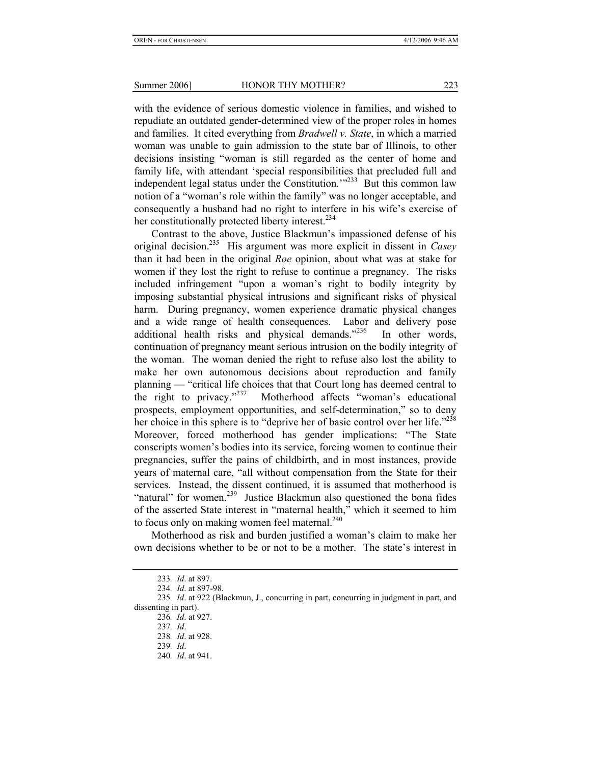with the evidence of serious domestic violence in families, and wished to repudiate an outdated gender-determined view of the proper roles in homes and families. It cited everything from *Bradwell v. State*, in which a married woman was unable to gain admission to the state bar of Illinois, to other decisions insisting "woman is still regarded as the center of home and family life, with attendant 'special responsibilities that precluded full and independent legal status under the Constitution.'"<sup>233</sup> But this common law notion of a "woman's role within the family" was no longer acceptable, and consequently a husband had no right to interfere in his wife's exercise of her constitutionally protected liberty interest.<sup>234</sup>

Contrast to the above, Justice Blackmun's impassioned defense of his original decision.235 His argument was more explicit in dissent in *Casey* than it had been in the original *Roe* opinion, about what was at stake for women if they lost the right to refuse to continue a pregnancy. The risks included infringement "upon a woman's right to bodily integrity by imposing substantial physical intrusions and significant risks of physical harm. During pregnancy, women experience dramatic physical changes and a wide range of health consequences. Labor and delivery pose additional health risks and physical demands."236 In other words, continuation of pregnancy meant serious intrusion on the bodily integrity of the woman. The woman denied the right to refuse also lost the ability to make her own autonomous decisions about reproduction and family planning — "critical life choices that that Court long has deemed central to the right to privacy."<sup>237</sup> Motherhood affects "woman's educational prospects, employment opportunities, and self-determination," so to deny her choice in this sphere is to "deprive her of basic control over her life."<sup>238</sup> Moreover, forced motherhood has gender implications: "The State conscripts women's bodies into its service, forcing women to continue their pregnancies, suffer the pains of childbirth, and in most instances, provide years of maternal care, "all without compensation from the State for their services. Instead, the dissent continued, it is assumed that motherhood is "natural" for women.<sup>239</sup> Justice Blackmun also questioned the bona fides of the asserted State interest in "maternal health," which it seemed to him to focus only on making women feel maternal.<sup>240</sup>

Motherhood as risk and burden justified a woman's claim to make her own decisions whether to be or not to be a mother. The state's interest in

<sup>233</sup>*. Id*. at 897.

<sup>234</sup>*. Id*. at 897-98.

<sup>235</sup>*. Id*. at 922 (Blackmun, J., concurring in part, concurring in judgment in part, and dissenting in part).

<sup>236</sup>*. Id*. at 927.

<sup>237</sup>*. Id*.

<sup>238</sup>*. Id*. at 928.

<sup>239</sup>*. Id*.

<sup>240</sup>*. Id*. at 941.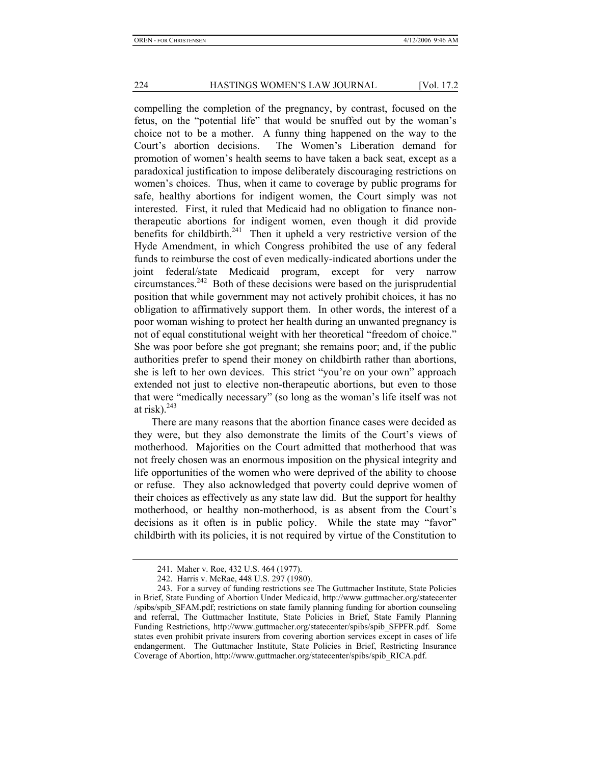compelling the completion of the pregnancy, by contrast, focused on the fetus, on the "potential life" that would be snuffed out by the woman's choice not to be a mother. A funny thing happened on the way to the Court's abortion decisions. The Women's Liberation demand for promotion of women's health seems to have taken a back seat, except as a paradoxical justification to impose deliberately discouraging restrictions on women's choices. Thus, when it came to coverage by public programs for safe, healthy abortions for indigent women, the Court simply was not interested. First, it ruled that Medicaid had no obligation to finance nontherapeutic abortions for indigent women, even though it did provide benefits for childbirth.<sup>241</sup> Then it upheld a very restrictive version of the Hyde Amendment, in which Congress prohibited the use of any federal funds to reimburse the cost of even medically-indicated abortions under the joint federal/state Medicaid program, except for very narrow circumstances.<sup>242</sup> Both of these decisions were based on the jurisprudential position that while government may not actively prohibit choices, it has no obligation to affirmatively support them. In other words, the interest of a poor woman wishing to protect her health during an unwanted pregnancy is not of equal constitutional weight with her theoretical "freedom of choice." She was poor before she got pregnant; she remains poor; and, if the public authorities prefer to spend their money on childbirth rather than abortions, she is left to her own devices. This strict "you're on your own" approach extended not just to elective non-therapeutic abortions, but even to those that were "medically necessary" (so long as the woman's life itself was not at risk). $^{243}$ 

There are many reasons that the abortion finance cases were decided as they were, but they also demonstrate the limits of the Court's views of motherhood. Majorities on the Court admitted that motherhood that was not freely chosen was an enormous imposition on the physical integrity and life opportunities of the women who were deprived of the ability to choose or refuse. They also acknowledged that poverty could deprive women of their choices as effectively as any state law did. But the support for healthy motherhood, or healthy non-motherhood, is as absent from the Court's decisions as it often is in public policy. While the state may "favor" childbirth with its policies, it is not required by virtue of the Constitution to

 <sup>241.</sup> Maher v. Roe, 432 U.S. 464 (1977).

 <sup>242.</sup> Harris v. McRae, 448 U.S. 297 (1980).

 <sup>243.</sup> For a survey of funding restrictions see The Guttmacher Institute, State Policies in Brief, State Funding of Abortion Under Medicaid, http://www.guttmacher.org/statecenter /spibs/spib\_SFAM.pdf; restrictions on state family planning funding for abortion counseling and referral, The Guttmacher Institute, State Policies in Brief, State Family Planning Funding Restrictions, http://www.guttmacher.org/statecenter/spibs/spib\_SFPFR.pdf. Some states even prohibit private insurers from covering abortion services except in cases of life endangerment. The Guttmacher Institute, State Policies in Brief, Restricting Insurance Coverage of Abortion, http://www.guttmacher.org/statecenter/spibs/spib\_RICA.pdf.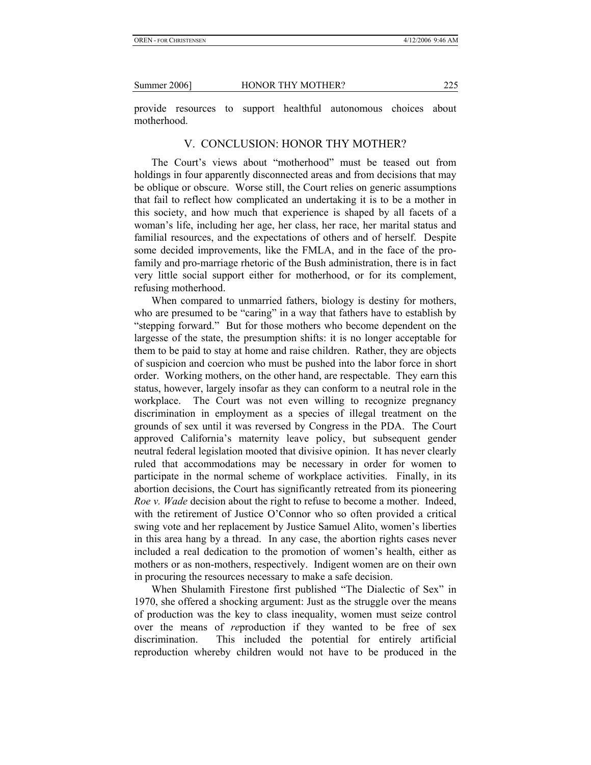provide resources to support healthful autonomous choices about motherhood.

#### V. CONCLUSION: HONOR THY MOTHER?

The Court's views about "motherhood" must be teased out from holdings in four apparently disconnected areas and from decisions that may be oblique or obscure. Worse still, the Court relies on generic assumptions that fail to reflect how complicated an undertaking it is to be a mother in this society, and how much that experience is shaped by all facets of a woman's life, including her age, her class, her race, her marital status and familial resources, and the expectations of others and of herself. Despite some decided improvements, like the FMLA, and in the face of the profamily and pro-marriage rhetoric of the Bush administration, there is in fact very little social support either for motherhood, or for its complement, refusing motherhood.

When compared to unmarried fathers, biology is destiny for mothers, who are presumed to be "caring" in a way that fathers have to establish by "stepping forward." But for those mothers who become dependent on the largesse of the state, the presumption shifts: it is no longer acceptable for them to be paid to stay at home and raise children. Rather, they are objects of suspicion and coercion who must be pushed into the labor force in short order. Working mothers, on the other hand, are respectable. They earn this status, however, largely insofar as they can conform to a neutral role in the workplace. The Court was not even willing to recognize pregnancy discrimination in employment as a species of illegal treatment on the grounds of sex until it was reversed by Congress in the PDA. The Court approved California's maternity leave policy, but subsequent gender neutral federal legislation mooted that divisive opinion. It has never clearly ruled that accommodations may be necessary in order for women to participate in the normal scheme of workplace activities. Finally, in its abortion decisions, the Court has significantly retreated from its pioneering *Roe v. Wade* decision about the right to refuse to become a mother. Indeed, with the retirement of Justice O'Connor who so often provided a critical swing vote and her replacement by Justice Samuel Alito, women's liberties in this area hang by a thread. In any case, the abortion rights cases never included a real dedication to the promotion of women's health, either as mothers or as non-mothers, respectively. Indigent women are on their own in procuring the resources necessary to make a safe decision.

When Shulamith Firestone first published "The Dialectic of Sex" in 1970, she offered a shocking argument: Just as the struggle over the means of production was the key to class inequality, women must seize control over the means of *re*production if they wanted to be free of sex discrimination. This included the potential for entirely artificial reproduction whereby children would not have to be produced in the